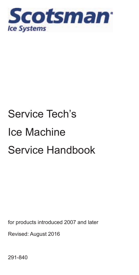

# Service Tech's Ice Machine Service Handbook

for products introduced 2007 and later

Revised: August 2016

291-840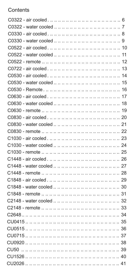#### **Contents**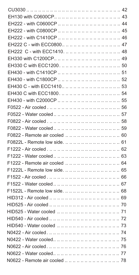| EH222 C - with ECC0800 47                 |
|-------------------------------------------|
| EH222 C - with ECC1410.            . 48   |
|                                           |
|                                           |
|                                           |
|                                           |
| EH430 C - with ECC1410            . 53    |
|                                           |
|                                           |
|                                           |
|                                           |
|                                           |
|                                           |
|                                           |
| F0822L - Remote low side.             61  |
|                                           |
|                                           |
|                                           |
|                                           |
|                                           |
|                                           |
| F1522L - Remote low side.             68  |
|                                           |
|                                           |
|                                           |
|                                           |
|                                           |
|                                           |
|                                           |
|                                           |
|                                           |
| N0622 - Remote air cooled            . 78 |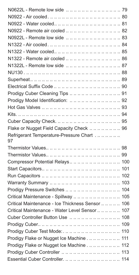| N0922 - Remote air cooled            . 82           |
|-----------------------------------------------------|
|                                                     |
|                                                     |
|                                                     |
| N1322 - Remote air cooled            . 86           |
|                                                     |
|                                                     |
|                                                     |
|                                                     |
|                                                     |
|                                                     |
|                                                     |
|                                                     |
|                                                     |
| Flake or Nugget Field Capacity Check  96            |
| Refrigerant Temperature-Pressure Chart<br>97        |
|                                                     |
|                                                     |
|                                                     |
|                                                     |
|                                                     |
|                                                     |
| Prodigy Pressure Switches            . 104          |
| Critical Maintenance - Spillway           105       |
| Critical Maintenance - Ice Thickness Sensor     106 |
| Critical Maintenance - Water Level Sensor      107  |
| Cuber Controller Button Use  108                    |
|                                                     |
| Prodigy Cuber Test Mode:.           . 110           |
| Prodigy Flake or Nugget Ice Machine 111             |
| Prodigy Flake or Nugget Ice Machine 112             |
| Prodigy Cuber Controller             113            |
| Essential Cuber Controller.             114         |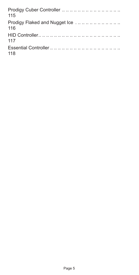| 115                                  |
|--------------------------------------|
| Prodigy Flaked and Nugget Ice<br>116 |
| 117                                  |
| 118                                  |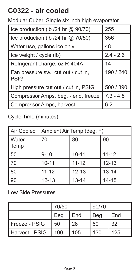### <span id="page-5-0"></span>**C0322 - air cooled**

Modular Cuber. Single six inch high evaporator.

| Ice production (Ib /24 hr @ 90/70)                 | 255         |
|----------------------------------------------------|-------------|
| Ice production (lb /24 hr @ 70/50)                 | 356         |
| Water use, gallons ice only                        | 48          |
| Ice weight / cycle (lb)                            | $2.4 - 2.6$ |
| Refrigerant charge, oz R-404A:                     | 14          |
| Fan pressure sw., cut out / cut in,<br><b>PSIG</b> | 190 / 240   |
| High pressure cut out / cut in, PSIG               | 500 / 390   |
| Compressor Amps, beg. - end, freeze                | $7.3 - 4.8$ |
| Compressor Amps, harvest                           | 6.2         |

Cycle Time (minutes)

| Air Cooled    | Ambient Air Temp (deg. F) |           |           |
|---------------|---------------------------|-----------|-----------|
| Water<br>Temp | 70                        | 80        | 90        |
| 50            | $9 - 10$                  | $10 - 11$ | $11 - 12$ |
| 70            | $10 - 11$                 | $11 - 12$ | $12 - 13$ |
| 80            | $11 - 12$                 | $12 - 13$ | $13 - 14$ |
| 90            | $12 - 13$                 | $13 - 14$ | $14 - 15$ |

|                | 70/50 |     | 90/70 |     |
|----------------|-------|-----|-------|-----|
|                | Beg   | End | Beg   | End |
| Freeze - PSIG  | 50    | 26  | 60    | 32  |
| Harvest - PSIG | 100   | 105 | 130   | 125 |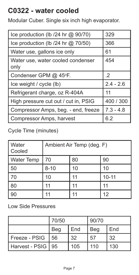### <span id="page-6-0"></span>**C0322 - water cooled**

Modular Cuber. Single six inch high evaporator.

| Ice production (Ib /24 hr @ 90/70)        | 329         |
|-------------------------------------------|-------------|
| Ice production (Ib $/24$ hr $@$ 70/50)    | 366         |
| Water use, gallons ice only               | 61          |
| Water use, water cooled condenser<br>only | 454         |
| Condenser GPM @ 45°F.                     | $\cdot$     |
| Ice weight / cycle (lb)                   | $2.4 - 2.6$ |
| Refrigerant charge, oz R-404A             | 11          |
| High pressure cut out / cut in, PSIG      | 400 / 300   |
| Compressor Amps, beg. - end, freeze       | $7.3 - 4.8$ |
| Compressor Amps, harvest                  | 6.2         |

Cycle Time (minutes)

| Water<br>Cooled | Ambient Air Temp (deg. F) |    |           |
|-----------------|---------------------------|----|-----------|
| Water Temp      | 70                        | 80 | 90        |
| 50              | $8 - 10$                  | 10 | 10        |
| 70              | 10                        | 11 | $10 - 11$ |
| 80              | 11                        | 11 | 11        |
| 90              |                           |    | 12        |

|                     | 70/50 |     | 90/70 |     |
|---------------------|-------|-----|-------|-----|
|                     | Beg   | End | Beg   | End |
| Freeze - PSIG       | 56    | 32  | 57    | 32  |
| Harvest - PSIG   95 |       | 105 | 110   | 130 |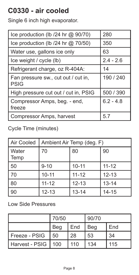# <span id="page-7-0"></span>**C0330 - air cooled**

Single 6 inch high evaporator.

| Ice production (Ib /24 hr @ 90/70)                 | 280         |
|----------------------------------------------------|-------------|
| Ice production (Ib $/24$ hr $@$ 70/50)             | 350         |
| Water use, gallons ice only                        | 63          |
| Ice weight / cycle (lb)                            | $2.4 - 2.6$ |
| Refrigerant charge, oz R-404A:                     | 14          |
| Fan pressure sw., cut out / cut in,<br><b>PSIG</b> | 190 / 240   |
| High pressure cut out / cut in, PSIG               | 500 / 390   |
| Compressor Amps, beg. - end,<br>freeze             | $6.2 - 4.8$ |
| Compressor Amps, harvest                           | 5.7         |

Cycle Time (minutes)

| Air Cooled    | Ambient Air Temp (deg. F) |           |           |
|---------------|---------------------------|-----------|-----------|
| Water<br>Temp | 70                        | 80        | 90        |
| 50            | $9 - 10$                  | $10 - 11$ | $11 - 12$ |
| 70            | $10 - 11$                 | $11 - 12$ | $12 - 13$ |
| 80            | $11 - 12$                 | $12 - 13$ | $13 - 14$ |
| 90            | $12 - 13$                 | $13 - 14$ | $14 - 15$ |

|                      | 70/50      |     | 90/70 |     |
|----------------------|------------|-----|-------|-----|
|                      | <b>Beg</b> | End | Bea   | End |
| l Freeze - PSIG      | 50         | 28  | 53    | 34  |
| Harvest - PSIG   100 |            | 110 | 134   | 115 |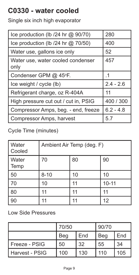# <span id="page-8-0"></span>**C0330 - water cooled**

Single six inch high evaporator

| Ice production (lb /24 hr @ 90/70)        | 280         |
|-------------------------------------------|-------------|
| Ice production (lb /24 hr @ 70/50)        | 400         |
| Water use, gallons ice only               | 52          |
| Water use, water cooled condenser<br>only | 457         |
| Condenser GPM @ 45°F.                     | $\cdot$ 1   |
| Ice weight / cycle (lb)                   | $2.4 - 2.6$ |
| Refrigerant charge, oz R-404A             | 11          |
| High pressure cut out / cut in, PSIG      | 400 / 300   |
| Compressor Amps, beg. - end, freeze       | $6.2 - 4.8$ |
| Compressor Amps, harvest                  | 5.7         |

Cycle Time (minutes)

| Water<br>Cooled | Ambient Air Temp (deg. F) |    |           |
|-----------------|---------------------------|----|-----------|
| Water<br>Temp   | 70                        | 80 | 90        |
| 50              | $8 - 10$                  | 10 | 10        |
| 70              | 10                        | 11 | $10 - 11$ |
| 80              | 11                        | 11 | 11        |
| 90              | 11                        | 11 | 12        |

|                | 70/50 |     | 90/70 |     |
|----------------|-------|-----|-------|-----|
|                | Beg   | End | Beg   | End |
| Freeze - PSIG  | 50    | 32  | 55    | 34  |
| Harvest - PSIG | 100   | 130 | 110   | 105 |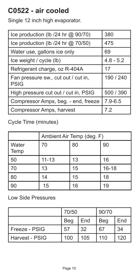# <span id="page-9-0"></span>**C0522 - air cooled**

Single 12 inch high evaporator.

| Ice production (Ib /24 hr @ 90/70)                 | 380         |
|----------------------------------------------------|-------------|
| Ice production (Ib $/24$ hr $@$ 70/50)             | 475         |
| Water use, gallons ice only                        | 69          |
| Ice weight / cycle (lb)                            | $4.8 - 5.2$ |
| Refrigerant charge, oz R-404A                      | 17          |
| Fan pressure sw., cut out / cut in,<br><b>PSIG</b> | 190 / 240   |
| High pressure cut out / cut in, PSIG               | 500 / 390   |
| Compressor Amps, beg. - end, freeze                | $7.9 - 6.5$ |
| Compressor Amps, harvest                           | 7.2         |

Cycle Time (minutes)

|                        | Ambient Air Temp (deg. F) |    |           |
|------------------------|---------------------------|----|-----------|
| <b>Water</b><br>  Temp | 70                        | 80 | 90        |
| 50                     | $11 - 13$                 | 13 | 16        |
| 70                     | 13                        | 15 | $16 - 18$ |
| 80                     | 14                        | 15 | 18        |
| 90                     | 15                        | 16 | 19        |

|                  | 70/50 |     | 90/70 |     |
|------------------|-------|-----|-------|-----|
|                  | Beg   | End | Beg   | End |
| l Freeze - PSIG  | 57    | 32  | 67    | 34  |
| l Harvest - PSIG | 100   | 105 | 110   | 120 |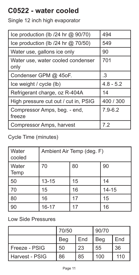# <span id="page-10-0"></span>**C0522 - water cooled**

Single 12 inch high evaporator

| Ice production (Ib /24 hr @ 90/70)        | 494         |
|-------------------------------------------|-------------|
| Ice production (Ib $/24$ hr $@$ 70/50)    | 549         |
| Water use, gallons ice only               | 90          |
| Water use, water cooled condenser<br>only | 701         |
| Condenser GPM @ 45oF.                     | .3          |
| Ice weight / cycle (lb)                   | $4.8 - 5.2$ |
| Refrigerant charge, oz R-404A             | 14          |
| High pressure cut out / cut in, PSIG      | 400 / 300   |
| Compressor Amps, beg. - end,<br>freeze    | $7.9 - 6.2$ |
| Compressor Amps, harvest                  | 7.2         |

Cycle Time (minutes)

| Water<br>cooled | Ambient Air Temp (deg. F) |    |           |
|-----------------|---------------------------|----|-----------|
| Water<br>Temp   | 70                        | 80 | 90        |
| 50              | $13 - 15$                 | 15 | 14        |
| 70              | 15                        | 16 | $14 - 15$ |
| 80              | 16                        | 17 | 15        |
| 90              | $16 - 17$                 | 17 | 16        |

|                | 70/50 |     | 90/70 |     |
|----------------|-------|-----|-------|-----|
|                | Beg   | End | Beg   | End |
| Freeze - PSIG  | 50    | 23  | 55    | 36  |
| Harvest - PSIG | 86    | 85  | 100   | 110 |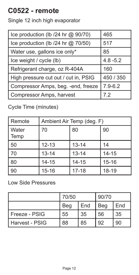# <span id="page-11-0"></span>**C0522 - remote**

Single 12 inch high evaporator

| Ice production (lb /24 hr @ 90/70)   | 465         |
|--------------------------------------|-------------|
| Ice production (lb /24 hr @ 70/50)   | 517         |
| Water use, gallons ice only*         | 85          |
| Ice weight / cycle (lb)              | $4.8 - 5.2$ |
| Refrigerant charge, oz R-404A        | 160         |
| High pressure cut out / cut in, PSIG | 450 / 350   |
| Compressor Amps, beg. - end, freeze  | $7.9 - 6.2$ |
| Compressor Amps, harvest             | 72          |

Cycle Time (minutes)

| Remote        | Ambient Air Temp (deg. F) |           |           |
|---------------|---------------------------|-----------|-----------|
| Water<br>Temp | 70                        | 80        | 90        |
| 50            | $12 - 13$                 | $13 - 14$ | 14        |
| 70            | $13 - 14$                 | $13 - 14$ | $14 - 15$ |
| 80            | $14 - 15$                 | $14 - 15$ | $15 - 16$ |
| 90            | $15 - 16$                 | $17 - 18$ | $18 - 19$ |

|                | 70/50 |     | 90/70 |     |
|----------------|-------|-----|-------|-----|
|                | Beg   | End | Beg   | End |
| Freeze - PSIG  | 55    | 35  | 56    | 35  |
| Harvest - PSIG | 88    | 85  | 92    | 90  |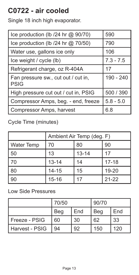# <span id="page-12-0"></span>**C0722 - air cooled**

Single 18 inch high evaporator.

| Ice production (lb /24 hr @ 90/70)                 | 590         |
|----------------------------------------------------|-------------|
| Ice production (lb /24 hr @ 70/50)                 | 790         |
| Water use, gallons ice only                        | 106         |
| Ice weight / cycle (lb)                            | $7.3 - 7.5$ |
| Refrigerant charge, oz R-404A                      | 17          |
| Fan pressure sw., cut out / cut in,<br><b>PSIG</b> | 190 - 240   |
| High pressure cut out / cut in, PSIG               | 500 / 390   |
| Compressor Amps, beg. - end, freeze                | $5.8 - 5.0$ |
| Compressor Amps, harvest                           | 6.8         |

Cycle Time (minutes)

|                   | Ambient Air Temp (deg. F) |           |           |
|-------------------|---------------------------|-----------|-----------|
| <b>Water Temp</b> | 70                        | 80        | 90        |
| 50                | 13                        | $13 - 14$ | 17        |
| 70                | $13 - 14$                 | 14        | $17 - 18$ |
| 80                | $14 - 15$                 | 15        | 19-20     |
| 90                | $15 - 16$                 |           | $21 - 22$ |

|                | 70/50 |     | 90/70 |     |
|----------------|-------|-----|-------|-----|
|                | Beg   | End | Beg   | End |
| Freeze - PSIG  | 60    | 30  | 62    | 33  |
| Harvest - PSIG | 94    | 92  | 150   | 120 |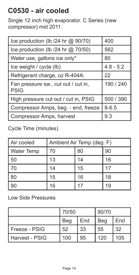# <span id="page-13-0"></span>**C0530 - air cooled**

Single 12 inch high evaporator. C Series (new compressor) mid 2011.

| Ice production (lb /24 hr @ 90/70)                 | 400         |
|----------------------------------------------------|-------------|
| Ice production (lb /24 hr @ 70/50)                 | 562         |
| Water use, gallons ice only*                       | 80          |
| Ice weight / cycle (lb)                            | $4.8 - 5.2$ |
| Refrigerant charge, oz R-404A:                     | 22          |
| Fan pressure sw., cut out / cut in,<br><b>PSIG</b> | 190 / 240   |
| High pressure cut out / cut in, PSIG               | 500 / 390   |
| Compressor Amps, beg. - end, freeze                | $8 - 6.5$   |
| Compressor Amps, harvest                           | 9.3         |

Cycle Time (minutes)

| Air cooled        | Ambient Air Temp (deg. F) |    |    |
|-------------------|---------------------------|----|----|
| <b>Water Temp</b> | 70                        | 80 | 90 |
| 50                | 13                        | 14 | 16 |
| 70                | 14                        | 15 | 17 |
| 80                | 15                        | 16 | 18 |
| 90                | 16                        | 17 | 19 |

|                  | 70/50 |     | 90/70 |     |
|------------------|-------|-----|-------|-----|
|                  | Beg   | End | Beg   | End |
| l Freeze - PSIG  | 52    | 33  | 55    | 32  |
| l Harvest - PSIG | 100   | 95  | 120   | 105 |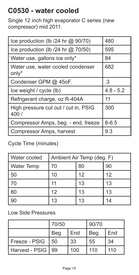### <span id="page-14-0"></span>**C0530 - water cooled**

Single 12 inch high evaporator C series (new compressor) mid 2011.

| Ice production (Ib /24 hr @ 90/70)            | 480         |
|-----------------------------------------------|-------------|
| Ice production (Ib $/24$ hr $@$ 70/50)        | 595         |
| Water use, gallons ice only*                  | 84          |
| Water use, water cooled condenser<br>only*    | 682         |
| Condenser GPM @ 45oF.                         | .3          |
| Ice weight / cycle (lb)                       | $4.8 - 5.2$ |
| Refrigerant charge, oz R-404A                 | 11          |
| High pressure cut out / cut in, PSIG<br>400 / | 300         |
| Compressor Amps, beg. - end, freeze           | $8 - 6.5$   |
| Compressor Amps, harvest                      | 9.3         |

#### Cycle Time (minutes)

| Water cooled      | Ambient Air Temp (deg. F) |    |    |
|-------------------|---------------------------|----|----|
| <b>Water Temp</b> | 70                        | 80 | 90 |
| 50                | 10                        | 12 | 12 |
| 70                | 11                        | 13 | 13 |
| 80                | 12                        | 13 | 13 |
|                   | 13                        | 13 | 14 |

|                | 70/50 |     | 90/70 |     |
|----------------|-------|-----|-------|-----|
|                | Beg   | End | Beg   | End |
| Freeze - PSIG  | 50    | 33  | 55    | 34  |
| Harvest - PSIG | 99    | 100 | 110   | 110 |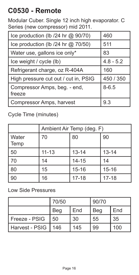# <span id="page-15-0"></span>**C0530 - Remote**

Modular Cuber. Single 12 inch high evaporator. C Series (new compressor) mid 2011.

| Ice production (lb /24 hr @ 90/70)     | 460         |
|----------------------------------------|-------------|
| Ice production (lb /24 hr @ 70/50)     | 511         |
| Water use, gallons ice only*           | 83          |
| Ice weight / cycle (lb)                | $4.8 - 5.2$ |
| Refrigerant charge, oz R-404A          | 160         |
| High pressure cut out / cut in, PSIG   | 450 / 350   |
| Compressor Amps, beg. - end,<br>freeze | $8 - 6.5$   |
| Compressor Amps, harvest               | 9.3         |

Cycle Time (minutes)

|               | Ambient Air Temp (deg. F) |           |           |
|---------------|---------------------------|-----------|-----------|
| Water<br>Temp | 70                        | 80        | 90        |
| 50            | $11 - 13$                 | $13 - 14$ | $13 - 14$ |
| 70            | 14                        | $14 - 15$ | 14        |
| 80            | 15                        | $15 - 16$ | $15 - 16$ |
| 90            | 16                        | $17 - 18$ | $17 - 18$ |

|                | 70/50 |     | 90/70 |     |
|----------------|-------|-----|-------|-----|
|                | Beg   | End | Beg   | End |
| Freeze - PSIG  | 50    | 30  | 55    | 35  |
| Harvest - PSIG | 146   | 145 | 99    | 100 |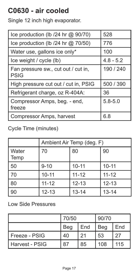# <span id="page-16-0"></span>**C0630 - air cooled**

Single 12 inch high evaporator.

| Ice production (lb /24 hr @ 90/70)                 | 528         |
|----------------------------------------------------|-------------|
| Ice production (Ib $/24$ hr $@$ 70/50)             | 776         |
| Water use, gallons ice only*                       | 100         |
| Ice weight / cycle (lb)                            | $4.8 - 5.2$ |
| Fan pressure sw., cut out / cut in,<br><b>PSIG</b> | 190 / 240   |
| High pressure cut out / cut in, PSIG               | 500 / 390   |
| Refrigerant charge, oz R-404A:                     | 36          |
| Compressor Amps, beg. - end,<br>freeze             | $5.8 - 5.0$ |
| Compressor Amps, harvest                           | 6.8         |

Cycle Time (minutes)

|                 | Ambient Air Temp (deg. F) |           |           |
|-----------------|---------------------------|-----------|-----------|
| l Water<br>Temp | 70                        | 80        | 90        |
| 50              | $9 - 10$                  | $10 - 11$ | $10 - 11$ |
| 70              | $10 - 11$                 | $11 - 12$ | $11 - 12$ |
| 80              | $11 - 12$                 | $12 - 13$ | $12 - 13$ |
| 90              | $12 - 13$                 | $13 - 14$ | $13 - 14$ |

|                  | 70/50      |     | 90/70 |     |  |
|------------------|------------|-----|-------|-----|--|
|                  | <b>Beg</b> | End | Beg   | End |  |
| l Freeze - PSIG  | 40         | 21  | 53    | 27  |  |
| l Harvest - PSIG | 87         | 85  | 108   | 115 |  |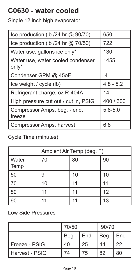# <span id="page-17-0"></span>**C0630 - water cooled**

Single 12 inch high evaporator.

| Ice production (Ib /24 hr @ 90/70)         | 650         |
|--------------------------------------------|-------------|
| Ice production (Ib $/24$ hr $@$ 70/50)     | 722         |
| Water use, gallons ice only*               | 130         |
| Water use, water cooled condenser<br>only* | 1455        |
| Condenser GPM @ 45oF.                      | $\cdot$     |
| Ice weight / cycle (lb)                    | $4.8 - 5.2$ |
| Refrigerant charge, oz R-404A              | 14          |
|                                            |             |
| High pressure cut out / cut in, PSIG       | 400 / 300   |
| Compressor Amps, beg. - end,<br>freeze     | $5.8 - 5.0$ |

#### Cycle Time (minutes)

|                      | Ambient Air Temp (deg. F) |    |    |
|----------------------|---------------------------|----|----|
| <b>Water</b><br>Temp | 70                        | 80 | 90 |
| 50                   | 9                         | 10 | 10 |
| 70                   | 10                        | 11 |    |
| 80                   | 11                        | 11 | 12 |
| 90                   | 11                        |    | 13 |

|                  | 70/50      |     | 90/70 |     |
|------------------|------------|-----|-------|-----|
|                  | <b>Beg</b> | End | Beg   | End |
| l Freeze - PSIG  | 40         | 25  | 44    | 22  |
| l Harvest - PSIG | 74         | 75  | 82    | 80  |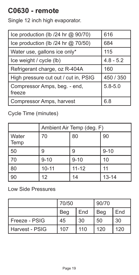## <span id="page-18-0"></span>**C0630 - remote**

Single 12 inch high evaporator.

| Ice production (lb /24 hr @ 90/70)     | 616         |
|----------------------------------------|-------------|
| Ice production (lb /24 hr @ 70/50)     | 684         |
| Water use, gallons ice only*           | 115         |
| Ice weight / cycle (lb)                | $4.8 - 5.2$ |
| Refrigerant charge, oz R-404A          | 160         |
| High pressure cut out / cut in, PSIG   | 450 / 350   |
| Compressor Amps, beg. - end,<br>freeze | $5.8 - 5.0$ |
| Compressor Amps, harvest               | 6.8         |

#### Cycle Time (minutes)

|               | Ambient Air Temp (deg. F) |           |           |
|---------------|---------------------------|-----------|-----------|
| Water<br>Temp | 70                        | 80        | 90        |
| 50            | 9                         | 9         | $9 - 10$  |
| 70            | $9 - 10$                  | $9 - 10$  | 10        |
| 80            | $10 - 11$                 | $11 - 12$ | 11        |
| 90            | 12                        | 14        | $13 - 14$ |

|                | 70/50 |     | 90/70 |     |
|----------------|-------|-----|-------|-----|
|                | Beg   | End | Beg   | End |
| Freeze - PSIG  | 45    | 30  | 50    | 30  |
| Harvest - PSIG | 107   | 110 | 120   | 120 |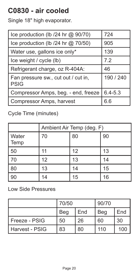### <span id="page-19-0"></span>**C0830 - air cooled**

Single 18" high evaporator.

| Ice production (lb /24 hr @ 90/70)                 | 724         |
|----------------------------------------------------|-------------|
| Ice production (lb /24 hr @ 70/50)                 | 905         |
| Water use, gallons ice only*                       | 139         |
| Ice weight / cycle (lb)                            | 7.2         |
| Refrigerant charge, oz R-404A:                     | 46          |
| Fan pressure sw., cut out / cut in,<br><b>PSIG</b> | 190 / 240   |
| Compressor Amps, beg. - end, freeze                | $6.4 - 5.3$ |
| Compressor Amps, harvest                           | 6.6         |

Cycle Time (minutes)

|                        | Ambient Air Temp (deg. F) |    |    |
|------------------------|---------------------------|----|----|
| <b>Water</b><br>  Temp | 70                        | 80 | 90 |
| 50                     | 11                        | 12 | 13 |
| 70                     | 12                        | 13 | 14 |
| 80                     | 13                        | 14 | 15 |
| 90                     | 14                        | 15 | 16 |

|                | 70/50 |     | 90/70 |     |
|----------------|-------|-----|-------|-----|
|                | Beg   | End | Beg   | End |
| Freeze - PSIG  | 50    | 26  | 60    | 30  |
| Harvest - PSIG | 83    | 80  | 110   | 100 |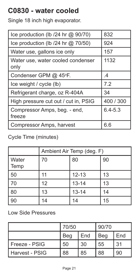# <span id="page-20-0"></span>**C0830 - water cooled**

Single 18 inch high evaporator.

| Ice production (lb /24 hr @ 90/70)        | 832         |
|-------------------------------------------|-------------|
| Ice production (Ib $/24$ hr $@$ 70/50)    | 924         |
| Water use, gallons ice only               | 157         |
| Water use, water cooled condenser<br>only | 1132        |
| Condenser GPM @ 45°F.                     | .4          |
| Ice weight / cycle (lb)                   | 7.2         |
| Refrigerant charge, oz R-404A             | 34          |
|                                           |             |
| High pressure cut out / cut in, PSIG      | 400 / 300   |
| Compressor Amps, beg. - end,<br>freeze    | $6.4 - 5.3$ |

#### Cycle Time (minutes)

|                   | Ambient Air Temp (deg. F) |           |    |  |
|-------------------|---------------------------|-----------|----|--|
| l Water<br>  Temp | 70                        | 80        | 90 |  |
| 50                | 11                        | $12 - 13$ | 13 |  |
| 70                | 12                        | $13 - 14$ | 13 |  |
| 80                | 13                        | $13 - 14$ | 14 |  |
| 90                | 14                        | 14        | 15 |  |

|                  | 70/50 |     | 90/70 |     |
|------------------|-------|-----|-------|-----|
|                  | Beg   | End | Beg   | End |
| l Freeze - PSIG  | 50    | 30  | 55    | .31 |
| l Harvest - PSIG | 88    | 85  | 88    | 90  |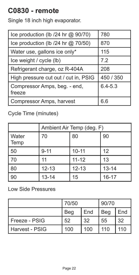### <span id="page-21-0"></span>**C0830 - remote**

Single 18 inch high evaporator.

| Ice production (lb /24 hr @ 90/70)     | 780         |
|----------------------------------------|-------------|
| Ice production (lb /24 hr @ 70/50)     | 870         |
| Water use, gallons ice only*           | 115         |
| Ice weight / cycle (lb)                | 7.2         |
| Refrigerant charge, oz R-404A          | 208         |
| High pressure cut out / cut in, PSIG   | 450 / 350   |
| Compressor Amps, beg. - end,<br>freeze | $6.4 - 5.3$ |
| Compressor Amps, harvest               | 6.6         |

Cycle Time (minutes)

|               | Ambient Air Temp (deg. F) |           |           |  |
|---------------|---------------------------|-----------|-----------|--|
| Water<br>Temp | 70                        | 80        | 90        |  |
| 50            | $9 - 11$                  | $10 - 11$ | 12        |  |
| 70            | 11                        | $11 - 12$ | 13        |  |
| 80            | $12 - 13$                 | $12 - 13$ | $13 - 14$ |  |
| 90            | $13 - 14$                 | 15        | $16 - 17$ |  |

|                | 70/50 |     | 90/70 |     |
|----------------|-------|-----|-------|-----|
|                | Beg   | End | Beg   | End |
| Freeze - PSIG  | 52    | 32  | 55    | 32  |
| Harvest - PSIG | 100   | 100 | 110   | 110 |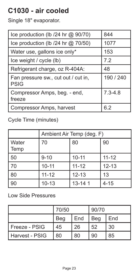# <span id="page-22-0"></span>**C1030 - air cooled**

Single 18" evaporator.

| Ice production (Ib /24 hr @ 90/70)                 | 844         |
|----------------------------------------------------|-------------|
| Ice production (Ib $/24$ hr $@$ 70/50)             | 1077        |
| Water use, gallons ice only*                       | 153         |
| Ice weight / cycle (lb)                            | 7.2         |
| Refrigerant charge, oz R-404A:                     | 48          |
| Fan pressure sw., cut out / cut in,<br><b>PSIG</b> | 190 / 240   |
| Compressor Amps, beg. - end,<br>freeze             | $7.3 - 4.8$ |
| Compressor Amps, harvest                           | 6.2         |

Cycle Time (minutes)

|               | Ambient Air Temp (deg. F) |            |           |  |
|---------------|---------------------------|------------|-----------|--|
| Water<br>Temp | 70                        | 80         | 90        |  |
| 50            | $9 - 10$                  | $10 - 11$  | $11 - 12$ |  |
| 70            | $10 - 11$                 | $11 - 12$  | $12 - 13$ |  |
| 80            | $11 - 12$                 | $12 - 13$  | 13        |  |
| 90            | $10 - 13$                 | $13 - 141$ | $4 - 15$  |  |

|                  | 70/50      |     | 90/70 |     |
|------------------|------------|-----|-------|-----|
|                  | <b>Beg</b> | End | Beg   | End |
| l Freeze - PSIG  | 45         | 26  | 52    | 30  |
| l Harvest - PSIG | 80         | 80  | 90    | 85  |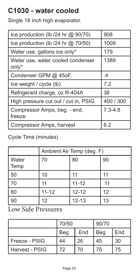# <span id="page-23-0"></span>**C1030 - water cooled**

Single 18 inch high evaporator.

| Ice production (Ib /24 hr @ 90/70)         | 908         |
|--------------------------------------------|-------------|
| Ice production (lb /24 hr @ 70/50)         | 1009        |
| Water use, gallons ice only*               | 179         |
| Water use, water cooled condenser<br>only* | 1389        |
| Condenser GPM @ 45oF.                      | $\cdot$     |
| Ice weight / cycle (lb)                    | 7.2         |
| Refrigerant charge, oz R-404A              | 38          |
| High pressure cut out / cut in, PSIG       | 400 / 300   |
| Compressor Amps, beg. - end,<br>freeze     | $7.3 - 4.8$ |
| Compressor Amps, harvest                   | 6.2         |

#### Cycle Time (minutes)

|                      | Ambient Air Temp (deg. F) |           |    |
|----------------------|---------------------------|-----------|----|
| <b>Water</b><br>Temp | 70                        | 80        | 90 |
| 50                   | 10                        | 11        |    |
| l 70                 | 11                        | $11 - 12$ | 11 |
| 80                   | $11 - 12$                 | $12 - 12$ | 12 |
| 90                   | 12                        | $12 - 13$ | 13 |

|                  | 70/50 |     | 90/70 |     |
|------------------|-------|-----|-------|-----|
|                  | Beg   | End | Beg   | End |
| l Freeze - PSIG  | 44    | 26  | 45    | 30  |
| l Harvest - PSIG | 72    | 70  | 75    | 75  |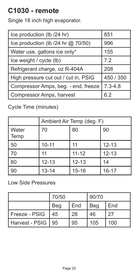# <span id="page-24-0"></span>**C1030 - remote**

Single 18 inch high evaporator.

| Ice production (lb /24 hr)           | 851         |
|--------------------------------------|-------------|
| Ice production (lb /24 hr @ 70/50)   | 996         |
| Water use, gallons ice only*         | 155         |
| Ice weight / cycle (lb)              | 7.2         |
| Refrigerant charge, oz R-404A        | 208         |
| High pressure cut out / cut in, PSIG | 450 / 350   |
| Compressor Amps, beg. - end, freeze  | $7.3 - 4.8$ |
| Compressor Amps, harvest             | 6.2         |

Cycle Time (minutes)

|                      | Ambient Air Temp (deg. F) |           |           |
|----------------------|---------------------------|-----------|-----------|
| <b>Water</b><br>Temp | 70                        | 80        | 90        |
| 50                   | $10 - 11$                 | 11        | $12 - 13$ |
| 70                   | 11                        | $11 - 12$ | $12 - 13$ |
| 80                   | $12 - 13$                 | $12 - 13$ | 14        |
| 90                   | $13 - 14$                 | $15 - 16$ | 16-17     |

|                | 70/50 |     | 90/70 |     |
|----------------|-------|-----|-------|-----|
|                | Beg   | End | Beg   | End |
| Freeze - PSIG  | 45    | 28  | 46    | 27  |
| Harvest - PSIG | 95    | 95  | 105   | 100 |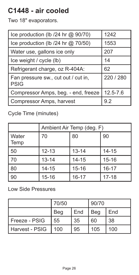# <span id="page-25-0"></span>**C1448 - air cooled**

Two 18" evaporators.

| Ice production (lb /24 hr @ 90/70)                 | 1242      |
|----------------------------------------------------|-----------|
| Ice production (lb /24 hr @ 70/50)                 | 1553      |
| Water use, gallons ice only                        | 207       |
| Ice weight / cycle (lb)                            | 14        |
| Refrigerant charge, oz R-404A:                     | 62        |
| Fan pressure sw., cut out / cut in,<br><b>PSIG</b> | 220 / 280 |
| Compressor Amps, beg. - end, freeze                | 12.5-7.6  |
| Compressor Amps, harvest                           | 9.2       |

Cycle Time (minutes)

|               | Ambient Air Temp (deg. F) |           |           |
|---------------|---------------------------|-----------|-----------|
| Water<br>Temp | 70                        | 80        | 90        |
| 50            | $12 - 13$                 | $13 - 14$ | $14 - 15$ |
| 70            | $13 - 14$                 | $14 - 15$ | $15 - 16$ |
| 80            | $14 - 15$                 | $15 - 16$ | $16 - 17$ |
| 90            | $15 - 16$                 | $16 - 17$ | $17 - 18$ |

|                | 70/50 |     | 90/70 |     |
|----------------|-------|-----|-------|-----|
|                | Beg   | End | Beg   | End |
| Freeze - PSIG  | 55    | 35  | 60    | 38  |
| Harvest - PSIG | 100   | 95  | 105   | 100 |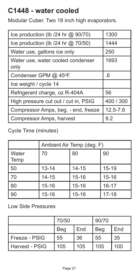# <span id="page-26-0"></span>**C1448 - water cooled**

Modular Cuber. Two 18 inch high evaporators.

| Ice production (Ib /24 hr @ 90/70)        | 1300         |
|-------------------------------------------|--------------|
| Ice production (Ib $/24$ hr $@$ 70/50)    | 1444         |
| Water use, gallons ice only               | 250          |
| Water use, water cooled condenser<br>only | 1693         |
| Condenser GPM @ 45°F.                     | .6           |
| Ice weight / cycle 14                     |              |
| Refrigerant charge, oz R-404A             | 56           |
| High pressure cut out / cut in, PSIG      | 400 / 300    |
| Compressor Amps, beg. - end, freeze       | $12.5 - 7.6$ |
| Compressor Amps, harvest                  | 9.2          |

Cycle Time (minutes)

|               | Ambient Air Temp (deg. F) |           |           |
|---------------|---------------------------|-----------|-----------|
| Water<br>Temp | 70                        | 80        | 90        |
| 50            | $13 - 14$                 | $14 - 15$ | $15 - 19$ |
| 70            | $14 - 15$                 | $15 - 16$ | $15 - 16$ |
| 80            | $15 - 16$                 | $15 - 16$ | $16 - 17$ |
| 90            | $15 - 16$                 | $15 - 16$ | $17 - 18$ |

|                  | 70/50 |     | 90/70 |     |
|------------------|-------|-----|-------|-----|
|                  | Beg   | End | Beg   | End |
| l Freeze - PSIG  | 55    | 36  | 55    | 35  |
| l Harvest - PSIG | 105   | 105 | 105   | 100 |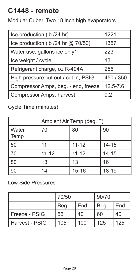# <span id="page-27-0"></span>**C1448 - remote**

Modular Cuber. Two 18 inch high evaporators.

| Ice production (lb /24 hr)           | 1221      |
|--------------------------------------|-----------|
| Ice production (lb /24 hr @ 70/50)   | 1357      |
| Water use, gallons ice only*         | 223       |
| Ice weight / cycle                   | 13        |
| Refrigerant charge, oz R-404A        | 256       |
| High pressure cut out / cut in, PSIG | 450 / 350 |
| Compressor Amps, beg. - end, freeze  | 12.5-7.6  |
| Compressor Amps, harvest             | 9.2       |

Cycle Time (minutes)

|                      | Ambient Air Temp (deg. F) |           |           |
|----------------------|---------------------------|-----------|-----------|
| <b>Water</b><br>Temp | 70                        | 80        | 90        |
| 50                   | 11                        | $11 - 12$ | $14 - 15$ |
| 70                   | $11 - 12$                 | $11 - 12$ | $14 - 15$ |
| 80                   | 13                        | 13        | 16        |
| 90                   | 14                        | $15 - 16$ | 18-19     |

|                | 70/50 |     | 90/70 |     |
|----------------|-------|-----|-------|-----|
|                | Beg   | End | Beg   | End |
| Freeze - PSIG  | 55    | 40  | 60    | 40  |
| Harvest - PSIG | 105   | 100 | 125   | 125 |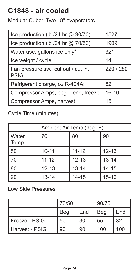### <span id="page-28-0"></span>**C1848 - air cooled**

Modular Cuber. Two 18" evaporators.

| Ice production (lb /24 hr @ 90/70)                 | 1527      |
|----------------------------------------------------|-----------|
| Ice production (lb /24 hr @ 70/50)                 | 1909      |
| Water use, gallons ice only*                       | 321       |
| Ice weight / cycle                                 | 14        |
| Fan pressure sw., cut out / cut in,<br><b>PSIG</b> | 220 / 280 |
| Refrigerant charge, oz R-404A:                     | 62        |
| Compressor Amps, beg. - end, freeze                | $16 - 10$ |
| Compressor Amps, harvest                           | 15        |

Cycle Time (minutes)

|               | Ambient Air Temp (deg. F) |           |           |
|---------------|---------------------------|-----------|-----------|
| Water<br>Temp | 70                        | 80        | 90        |
| 50            | $10 - 11$                 | $11 - 12$ | $12 - 13$ |
| 70            | $11 - 12$                 | $12 - 13$ | $13 - 14$ |
| 80            | $12 - 13$                 | $13 - 14$ | $14 - 15$ |
| 90            | $13 - 14$                 | $14 - 15$ | $15 - 16$ |

|                | 70/50 |     | 90/70 |     |
|----------------|-------|-----|-------|-----|
|                | Beg   | End | Beg   | End |
| Freeze - PSIG  | 50    | 30  | 55    | 32  |
| Harvest - PSIG | 90    | 90  | 100   | 100 |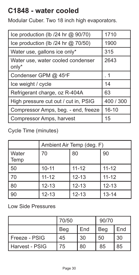### <span id="page-29-0"></span>**C1848 - water cooled**

Modular Cuber. Two 18 inch high evaporators.

| Ice production (lb /24 hr @ 90/70)         | 1710      |
|--------------------------------------------|-----------|
| Ice production (lb /24 hr @ 70/50)         | 1900      |
| Water use, gallons ice only*               | 315       |
| Water use, water cooled condenser<br>only* | 2643      |
| Condenser GPM @ 45°F                       | . 1       |
| Ice weight / cycle                         | 14        |
| Refrigerant charge, oz R-404A              | 63        |
| High pressure cut out / cut in, PSIG       | 400 / 300 |
| Compressor Amps, beg. - end, freeze        | $16 - 10$ |
| Compressor Amps, harvest                   | 15        |

Cycle Time (minutes)

|               | Ambient Air Temp (deg. F) |           |           |
|---------------|---------------------------|-----------|-----------|
| Water<br>Temp | 70                        | 80        | 90        |
| 50            | $10 - 11$                 | $11 - 12$ | $11 - 12$ |
| 70            | $11 - 12$                 | $12 - 13$ | $11 - 12$ |
| 80            | $12 - 13$                 | $12 - 13$ | $12 - 13$ |
| 90            | $12 - 13$                 | $12 - 13$ | $13 - 14$ |

|                  | 70/50 |     | 90/70 |     |
|------------------|-------|-----|-------|-----|
|                  | Beg   | End | Beg   | End |
| l Freeze - PSIG  | 45    | 30  | 50    | 30  |
| l Harvest - PSIG | 75    | 80  | 85    | 85  |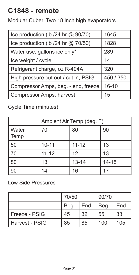### <span id="page-30-0"></span>**C1848 - remote**

Modular Cuber. Two 18 inch high evaporators.

| Ice production (lb /24 hr @ 90/70)   | 1645      |
|--------------------------------------|-----------|
| Ice production (lb /24 hr @ 70/50)   | 1828      |
| Water use, gallons ice only*         | 289       |
| Ice weight / cycle                   | 14        |
| Refrigerant charge, oz R-404A        | 320       |
| High pressure cut out / cut in, PSIG | 450 / 350 |
| Compressor Amps, beg. - end, freeze  | $16 - 10$ |
| Compressor Amps, harvest             | 15        |

Cycle Time (minutes)

|                      | Ambient Air Temp (deg. F) |           |           |
|----------------------|---------------------------|-----------|-----------|
| <b>Water</b><br>Temp | 70                        | 80        | 90        |
| 50                   | $10 - 11$                 | $11 - 12$ | 13        |
| l 70                 | $11 - 12$                 | 12        | 13        |
| 80                   | 13                        | $13 - 14$ | $14 - 15$ |
| 90                   | 14                        | 16        | 17        |

|                  | 70/50      |     | 90/70 |     |
|------------------|------------|-----|-------|-----|
|                  | <b>Beg</b> | End | Beg   | End |
| l Freeze - PSIG  | 45         | -32 | 55    | 33  |
| l Harvest - PSIG | 85         | 85  | 100   | 105 |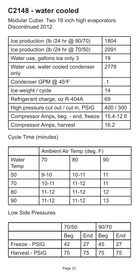# <span id="page-31-0"></span>**C2148 - water cooled**

Modular Cuber. Two 18 inch high evaporators. Discontinued 2012.

| Ice production (Ib /24 hr @ 90/70)        | 1804      |
|-------------------------------------------|-----------|
| Ice production (Ib $/24$ hr $@$ 70/50)    | 2091      |
| Water use, gallons ice only 3             | 19        |
| Water use, water cooled condenser<br>only | 2778      |
| Condenser GPM @ 45°F                      | .1        |
| Ice weight / cycle                        | 14        |
| Refrigerant charge, oz R-404A             | 69        |
| High pressure cut out / cut in, PSIG      | 400 / 300 |
| Compressor Amps, beg. - end, freeze       | 15.4-12.6 |
| Compressor Amps, harvest                  | 16.2      |

#### Cycle Time (minutes)

|                 | Ambient Air Temp (deg. F) |           |    |
|-----------------|---------------------------|-----------|----|
| l Water<br>Temp | 70                        | 80        | 90 |
| 50              | $9 - 10$                  | $10 - 11$ | 11 |
| 70              | $10 - 11$                 | $11 - 12$ | 11 |
| 80              | $11 - 12$                 | $11 - 12$ | 12 |
| 90              | $11 - 12$                 | $11 - 12$ | 13 |

|                  | 70/50 |     | 90/70 |     |
|------------------|-------|-----|-------|-----|
|                  | Beg   | End | Beg   | End |
| l Freeze - PSIG  | 42    | 27  | 45    | 27  |
| l Harvest - PSIG | 75    | 75  | 75    | 75  |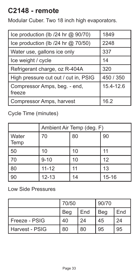## <span id="page-32-0"></span>**C2148 - remote**

Modular Cuber. Two 18 inch high evaporators.

| Ice production (lb /24 hr @ 90/70)     | 1849      |
|----------------------------------------|-----------|
| Ice production (lb /24 hr @ 70/50)     | 2248      |
| Water use, gallons ice only            | 337       |
| Ice weight / cycle                     | 14        |
| Refrigerant charge, oz R-404A          | 320       |
| High pressure cut out / cut in, PSIG   | 450 / 350 |
| Compressor Amps, beg. - end,<br>freeze | 15.4-12.6 |
| Compressor Amps, harvest               | 16.2      |

#### Cycle Time (minutes)

|                      | Ambient Air Temp (deg. F) |    |           |
|----------------------|---------------------------|----|-----------|
| <b>Water</b><br>Temp | 70                        | 80 | 90        |
| 50                   | 10                        | 10 |           |
| 70                   | $9 - 10$                  | 10 | 12        |
| 80                   | $11 - 12$                 | 11 | 13        |
| 90                   | $12 - 13$                 | 14 | $15 - 16$ |

|                | 70/50 |     | 90/70 |     |
|----------------|-------|-----|-------|-----|
|                | Beg   | End | Beg   | End |
| Freeze - PSIG  | 40    | 24  | 45    | 24  |
| Harvest - PSIG | 80    | 80  | 95    | 95  |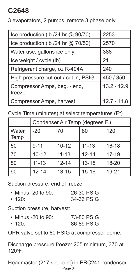# <span id="page-33-0"></span>**C2648**

3 evaporators, 2 pumps, remote 3 phase only.

| Ice production (lb /24 hr @ 90/70)     | 2253          |
|----------------------------------------|---------------|
| Ice production (lb /24 hr @ 70/50)     | 2570          |
| Water use, gallons ice only            | 388           |
| Ice weight / cycle (lb)                | 21            |
| Refrigerant charge, oz R-404A          | 240           |
| High pressure cut out / cut in, PSIG   | 450 / 350     |
| Compressor Amps, beg. - end,<br>freeze | $13.2 - 12.9$ |
| Compressor Amps, harvest               | $12.7 - 11.8$ |

Cycle Time (minutes) at select temperatures (F $^{\circ}$ )

|               | Condenser Air Temp (degrees F.) |           |           |           |
|---------------|---------------------------------|-----------|-----------|-----------|
| Water<br>Temp | $-20$                           | 70        | 80        | 120       |
| 50            | $9 - 11$                        | $10 - 12$ | $11 - 13$ | $16 - 18$ |
| 70            | $10 - 12$                       | $11 - 13$ | $12 - 14$ | $17 - 19$ |
| 80            | $11 - 13$                       | $12 - 14$ | $13 - 15$ | 18-20     |
| 90            | $12 - 14$                       | $13 - 15$ | $15 - 16$ | 19-21     |

Suction pressure, end of freeze:

| $\cdot$ Minus -20 to 90: | 26-30 PSIG |
|--------------------------|------------|
| $\cdot$ 120:             | 34-36 PSIG |

Suction pressure, harvest:

| $\cdot$ Minus -20 to 90: | 73-80 PSIG |
|--------------------------|------------|
| $\cdot$ 120:             | 86-89 PSIG |

OPR valve set to 80 PSIG at compressor dome.

Discharge pressure freeze: 205 minimum, 370 at 120°F.

Headmaster (217 set point) in PRC241 condenser.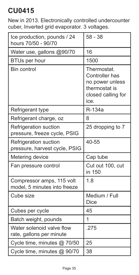### <span id="page-34-0"></span>**CU0415**

New in 2013. Electronically controlled undercounter cuber, Inverted grid evaporator. 3 voltages.

| Ice production, pounds / 24<br>hours 70/50 - 90/70        | 58 - 38                                                                                         |
|-----------------------------------------------------------|-------------------------------------------------------------------------------------------------|
| Water use, gallons @90/70                                 | 16                                                                                              |
| BTUs per hour                                             | 1500                                                                                            |
| Bin control                                               | Thermostat.<br>Controller has<br>no power unless<br>thermostat is<br>closed calling for<br>ice. |
| Refrigerant type                                          | R-134a                                                                                          |
| Refrigerant charge, oz                                    | 8                                                                                               |
| Refrigeration suction<br>pressure, freeze cycle, PSIG     | 25 dropping to 7                                                                                |
| Refrigeration suction<br>pressure, harvest cycle, PSIG    | 40-55                                                                                           |
| Metering device                                           | Cap tube                                                                                        |
| Fan pressure control                                      | Cut out 100, cut<br>in 150                                                                      |
| Compressor amps, 115 volt<br>model, 5 minutes into freeze | 1.8                                                                                             |
| Cube size                                                 | Medium / Full<br><b>Dice</b>                                                                    |
| Cubes per cycle                                           | 45                                                                                              |
| Batch weight, pounds                                      | 1                                                                                               |
| Water solenoid valve flow<br>rate, gallons per minute     | .275                                                                                            |
| Cycle time, minutes @ 70/50                               | 25                                                                                              |
| Cycle time, minutes @ 90/70                               | 38                                                                                              |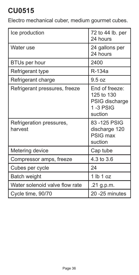# <span id="page-35-0"></span>**CU0515**

Electro mechanical cuber, medium gourmet cubes.

| Ice production                      | 72 to 44 lb. per<br>24 hours                                          |
|-------------------------------------|-----------------------------------------------------------------------|
| Water use                           | 24 gallons per<br>24 hours                                            |
| BTUs per hour                       | 2400                                                                  |
| Refrigerant type                    | R-134a                                                                |
| Refrigerant charge                  | 9.5 oz                                                                |
| Refrigerant pressures, freeze       | End of freeze:<br>125 to 130<br>PSIG discharge<br>1-3 PSIG<br>suction |
| Refrigeration pressures,<br>harvest | 83 - 125 PSIG<br>discharge 120<br>PSIG max<br>suction                 |
| Metering device                     | Cap tube                                                              |
| Compressor amps, freeze             | 4.3 to 3.6                                                            |
| Cubes per cycle                     | 24                                                                    |
| Batch weight                        | 1 lb 1 oz                                                             |
| Water solenoid valve flow rate      | .21 g.p.m.                                                            |
| Cycle time, 90/70                   | 20 - 25 minutes                                                       |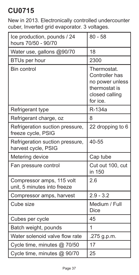New in 2013. Electronically controlled undercounter cuber, Inverted grid evaporator. 3 voltages.

| Ice production, pounds / 24<br>hours 70/50 - 90/70       | $80 - 58$                                                                                       |
|----------------------------------------------------------|-------------------------------------------------------------------------------------------------|
| Water use, gallons @90/70                                | 18                                                                                              |
| <b>BTUs per hour</b>                                     | 2300                                                                                            |
| Bin control                                              | Thermostat.<br>Controller has<br>no power unless<br>thermostat is<br>closed calling<br>for ice. |
| Refrigerant type                                         | R-134a                                                                                          |
| Refrigerant charge, oz                                   | 8                                                                                               |
| Refrigeration suction pressure,<br>freeze cycle, PSIG    | 22 dropping to 6                                                                                |
| Refrigeration suction pressure,<br>harvest cycle, PSIG   | 40-55                                                                                           |
| Metering device                                          | Cap tube                                                                                        |
| Fan pressure control                                     | Cut out 100, cut<br>in 150                                                                      |
| Compressor amps, 115 volt<br>unit, 5 minutes into freeze | 2.6                                                                                             |
| Compressor amps, harvest                                 | $2.9 - 3.2$                                                                                     |
| Cube size                                                | Medium / Full<br>Dice                                                                           |
| Cubes per cycle                                          | 45                                                                                              |
| Batch weight, pounds                                     | 1                                                                                               |
| Water solenoid valve flow rate                           | .275 g.p.m.                                                                                     |
| Cycle time, minutes @ 70/50                              | 17                                                                                              |
| Cycle time, minutes @ 90/70                              | 25                                                                                              |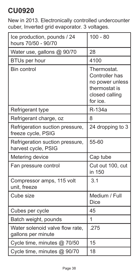New in 2013. Electronically controlled undercounter cuber, Inverted grid evaporator. 3 voltages.

| Ice production, pounds / 24<br>hours 70/50 - 90/70     | $100 - 80$                                                                                      |
|--------------------------------------------------------|-------------------------------------------------------------------------------------------------|
| Water use, gallons @ 90/70                             | 28                                                                                              |
| <b>BTUs per hour</b>                                   | 4100                                                                                            |
| Bin control                                            | Thermostat.<br>Controller has<br>no power unless<br>thermostat is<br>closed calling<br>for ice. |
| Refrigerant type                                       | R-134a                                                                                          |
| Refrigerant charge, oz                                 | 8                                                                                               |
| Refrigeration suction pressure,<br>freeze cycle, PSIG  | 24 dropping to 3                                                                                |
| Refrigeration suction pressure,<br>harvest cycle, PSIG | 55-60                                                                                           |
| Metering device                                        | Cap tube                                                                                        |
| Fan pressure control                                   | Cut out 100, cut<br>in 150                                                                      |
| Compressor amps, 115 volt<br>unit, freeze              | 3.1                                                                                             |
| Cube size                                              | Medium / Full<br><b>Dice</b>                                                                    |
| Cubes per cycle                                        | 45                                                                                              |
| Batch weight, pounds                                   | 1                                                                                               |
| Water solenoid valve flow rate.<br>gallons per minute  | .275                                                                                            |
| Cycle time, minutes @ 70/50                            | 15                                                                                              |
| Cycle time, minutes @ 90/70                            | 18                                                                                              |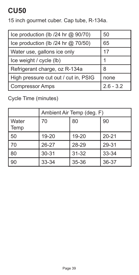15 inch gourmet cuber. Cap tube, R-134a.

| Ice production (lb /24 hr @ 90/70)     | 50          |
|----------------------------------------|-------------|
| Ice production (Ib $/24$ hr $@$ 70/50) | 65          |
| Water use, gallons ice only            | 17          |
| Ice weight / cycle (lb)                |             |
| Refrigerant charge, oz R-134a          | 8           |
| High pressure cut out / cut in, PSIG   | none        |
| <b>Compressor Amps</b>                 | $2.6 - 3.2$ |

Cycle Time (minutes)

|               | Ambient Air Temp (deg. F) |           |           |
|---------------|---------------------------|-----------|-----------|
| Water<br>Temp | 70                        | 80        | 90        |
| 50            | 19-20                     | 19-20     | $20 - 21$ |
| 70            | $26 - 27$                 | 28-29     | 29-31     |
| 80            | 30-31                     | $31 - 32$ | 33-34     |
| 90            | 33-34                     | 35-36     | 36-37     |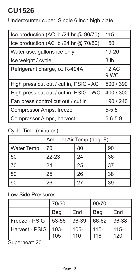Undercounter cuber. Single 6 inch high plate.

| Ice production (AC Ib /24 hr @ 90/70)  | 115             |
|----------------------------------------|-----------------|
| Ice production (AC Ib /24 hr @ 70/50)  | 150             |
| Water use, gallons ice only            | 19-20           |
| Ice weight / cycle                     | 3 <sub>lb</sub> |
| Refrigerant charge, oz R-404A          | 12 AC<br>9 WC   |
| High press cut out / cut in, PSIG - AC | 500 / 390       |
| High press cut out / cut in, PSIG - WC | 400 / 300       |
| Fan press control cut out / cut in     | 190 / 240       |
| Compressor Amps, freeze                | $5 - 5.5$       |
| Compressor Amps, harvest               | $5.6 - 5.9$     |

#### Cycle Time (minutes)

|                   | Ambient Air Temp (deg. F) |    |    |  |
|-------------------|---------------------------|----|----|--|
| <b>Water Temp</b> | 70<br>90<br>80            |    |    |  |
| 50                | $22 - 23$                 | 24 | 36 |  |
| 70                | 24                        | 25 | 37 |  |
| 80                | 25                        | 26 | 38 |  |
| 90                | 26                        | 27 | 39 |  |

### Low Side Pressures

|                | 70/50          |                | 90/70          |                |
|----------------|----------------|----------------|----------------|----------------|
|                | Beg            | End            | Beg            | End            |
| Freeze - PSIG  | 53-56          | 36-39          | 66-62          | 36-38          |
| Harvest - PSIG | $103 -$<br>105 | $105 -$<br>110 | $115 -$<br>116 | $115 -$<br>120 |

Superheat: 20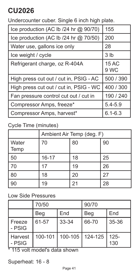Undercounter cuber. Single 6 inch high plate.

| Ice production (AC Ib /24 hr @ 90/70)  | 155             |
|----------------------------------------|-----------------|
|                                        |                 |
| Ice production (AC Ib /24 hr @ 70/50)  | 200             |
| Water use, gallons ice only            | 28              |
| Ice weight / cycle                     | 3 <sub>lb</sub> |
| Refrigerant charge, oz R-404A          | 15 AC           |
|                                        | 9 WC            |
| High press cut out / cut in, PSIG - AC | 500 / 390       |
| High press cut out / cut in, PSIG - WC | 400 / 300       |
| Fan pressure control cut out / cut in  | 190 / 240       |
| Compressor Amps, freeze*               | $5.4 - 5.9$     |
| Compressor Amps, harvest*              | $6.1 - 6.3$     |

### Cycle Time (minutes)

|                        | Ambient Air Temp (deg. F) |    |    |
|------------------------|---------------------------|----|----|
| <b>Water</b><br>  Temp | 70                        | 80 | 90 |
| 50                     | $16 - 17$                 | 18 | 25 |
| l 70                   | 17                        | 19 | 26 |
| 80                     | 18                        | 20 | 27 |
| 90                     | 19                        | 21 | 28 |

#### Low Side Pressures

|                                   | 70/50                    |                             | 90/70 |                |
|-----------------------------------|--------------------------|-----------------------------|-------|----------------|
|                                   | Beg                      | End                         | Beg   | End            |
| Freeze<br>- PSIG                  | 61-57                    | 33-34                       | 66-70 | 35-36          |
| Harvest<br>- PSIG<br><del>.</del> | $\overline{\phantom{a}}$ | 100-101   100-105   124-125 |       | $125 -$<br>130 |

\* 115 volt model's data shown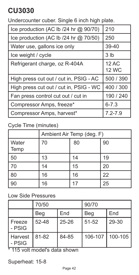Undercounter cuber. Single 6 inch high plate.

| Ice production (AC Ib /24 hr @ 90/70)  | 210                          |
|----------------------------------------|------------------------------|
| Ice production (AC Ib /24 hr @ 70/50)  | 250                          |
| Water use, gallons ice only            | 39-40                        |
| Ice weight / cycle                     | 3 <sub>lb</sub>              |
| Refrigerant charge, oz R-404A          | <b>12 AC</b><br><b>12 WC</b> |
| High press cut out / cut in, PSIG - AC | 500 / 390                    |
| High press cut out / cut in, PSIG - WC | 400 / 300                    |
| Fan press control cut out / cut in     | 190 / 240                    |
| Compressor Amps, freeze*               | $6 - 7.3$                    |
| Compressor Amps, harvest*              | $7.2 - 7.9$                  |

### Cycle Time (minutes)

|               | Ambient Air Temp (deg. F) |    |    |
|---------------|---------------------------|----|----|
| Water<br>Temp | 70                        | 80 | 90 |
| 50            | 13                        | 14 | 19 |
| 70            | 14                        | 15 | 20 |
| 80            | 16                        | 16 | 22 |
| 90            | 16                        |    | 25 |

#### Low Side Pressures

|                               | 70/50 |           | 90/70       |         |
|-------------------------------|-------|-----------|-------------|---------|
|                               | Beg   | End       | Beg         | End     |
| Freeze<br>- PSIG              | 52-48 | $25 - 26$ | $51 - 52$   | 29-30   |
| Harvest<br>- PSIG<br>$\cdots$ | 81-82 | 84-85     | $106 - 107$ | 100-105 |

\* 115 volt model's data shown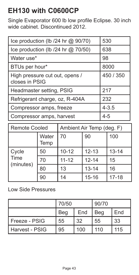# **EH130 with C0600CP**

Single Evaporator 600 lb low profile Eclipse. 30 inch wide cabinet. Discontinued 2012.

| Ice production (lb /24 hr @ 90/70)               | 530       |
|--------------------------------------------------|-----------|
| Ice production (lb /24 hr @ 70/50)               | 638       |
| Water use*                                       | 98        |
| BTUs per hour*                                   | 8000      |
| High pressure cut out, opens /<br>closes in PSIG | 450 / 350 |
| Headmaster setting, PSIG                         | 217       |
| Refrigerant charge, oz, R-404A                   | 232       |
| Compressor amps, freeze                          | $4 - 3.5$ |
| Compressor amps, harvest                         | $4 - 5$   |

| <b>Remote Cooled</b>       |               | Ambient Air Temp (deg. F) |           |           |
|----------------------------|---------------|---------------------------|-----------|-----------|
|                            | Water<br>Temp | 70                        | 90        | 100       |
| Cycle<br>Time<br>(minutes) | 50            | $10 - 12$                 | $12 - 13$ | $13 - 14$ |
|                            | 70            | $11 - 12$                 | $12 - 14$ | 15        |
|                            | 80            | 13                        | $13 - 14$ | 16        |
|                            | 90            | 14                        | $15 - 16$ | $17 - 18$ |

|                  | 70/50 |     | 90/70 |     |
|------------------|-------|-----|-------|-----|
|                  | Beg   | End | Beg   | End |
| l Freeze - PSIG  | 55    | 32  | 55    | 33  |
| l Harvest - PSIG | 95    | 100 | 110   | 115 |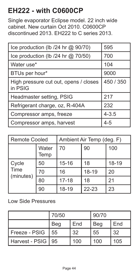# **EH222 - with C0600CP**

Single evaporator Eclipse model. 22 inch wide cabinet. New curtain Oct 2010. C0600CP discontinued 2013. EH222 to C series 2013.

| Ice production (lb /24 hr @ 90/70)               | 595       |
|--------------------------------------------------|-----------|
| Ice production (Ib $/24$ hr $@$ 70/50)           | 700       |
| Water use*                                       | 104       |
| BTUs per hour*                                   | 9000      |
| High pressure cut out, opens / closes<br>in PSIG | 450 / 350 |
| Headmaster setting, PSIG                         | 217       |
| Refrigerant charge, oz, R-404A                   | 232       |
| Compressor amps, freeze                          | $4 - 3.5$ |
| Compressor amps, harvest                         | 4-5       |

| Remote Cooled              |               | Ambient Air Temp (deg. F) |           |           |
|----------------------------|---------------|---------------------------|-----------|-----------|
|                            | Water<br>Temp | 70                        | 90        | 100       |
| Cycle<br>Time<br>(minutes) | 50            | $15 - 16$                 | 18        | $18 - 19$ |
|                            | 70            | 16                        | 18-19     | 20        |
|                            | 80            | $17 - 18$                 | 18        | 21        |
|                            | 90            | $18 - 19$                 | $22 - 23$ | 23        |

|                | 70/50 |     | 90/70 |     |
|----------------|-------|-----|-------|-----|
|                | Beg   | End | Beg   | End |
| Freeze - PSIG  | 55    | 32  | 55    | 32  |
| Harvest - PSIG | 95    | 100 | 100   | 105 |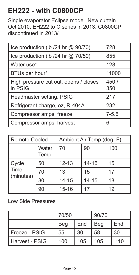### **EH222 - with C0800CP**

Single evaporator Eclipse model. New curtain Oct 2010. EH222 to C series in 2013, C0800CP discontinued in 2013/

| Ice production (Ib /24 hr @ 90/70)               | 728          |
|--------------------------------------------------|--------------|
| Ice production (Ib $/24$ hr $@$ 70/50)           | 855          |
| Water use*                                       | 128          |
| BTUs per hour*                                   | 11000        |
| High pressure cut out, opens / closes<br>in PSIG | 450 /<br>350 |
| Headmaster setting, PSIG                         | 217          |
| Refrigerant charge, oz, R-404A                   | 232          |
| Compressor amps, freeze                          | $7 - 5.6$    |
| Compressor amps, harvest                         | 6            |

| Remote Cooled              |               | Ambient Air Temp (deg. F) |           |     |
|----------------------------|---------------|---------------------------|-----------|-----|
|                            | Water<br>Temp | 70                        | 90        | 100 |
| Cycle<br>Time<br>(minutes) | 50            | $12 - 13$                 | $14 - 15$ | 15  |
|                            | 70            | 13                        | 15        | 17  |
|                            | 80            | $14 - 15$                 | $14 - 15$ | 18  |
|                            | 90            | $15 - 16$                 | 17        | 19  |

|                | 70/50 |     | 90/70 |     |
|----------------|-------|-----|-------|-----|
|                | Beg   | End | Beg   | End |
| Freeze - PSIG  | 55    | 30  | 58    | 30  |
| Harvest - PSIG | 100   | 105 | 105   | 110 |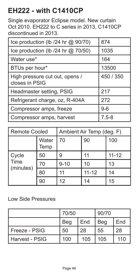### **EH222 - with C1410CP**

Single evaporator Eclipse model. New curtain Oct 2010. EH222 to C series in 2013, C1410CP discontinued in 2013.

| Ice production (Ib /24 hr @ 90/70)               | 874       |
|--------------------------------------------------|-----------|
| Ice production (Ib $/24$ hr $@$ 70/50)           | 1035      |
| Water use*                                       | 164       |
| BTUs per hour*                                   | 13500     |
| High pressure cut out, opens /<br>closes in PSIG | 450 / 350 |
| Headmaster setting, PSIG                         | 217       |
| Refrigerant charge, oz, R-404A                   | 272       |
| Compressor amps, freeze                          | $9-6$     |
| Compressor amps, harvest                         | $7.5 - 8$ |

| Remote Cooled              |               | Ambient Air Temp (deg. F) |           |           |
|----------------------------|---------------|---------------------------|-----------|-----------|
|                            | Water<br>Temp | 70                        | 90        | 100       |
| Cycle<br>Time<br>(minutes) | 50            | 9                         | 11        | $11 - 12$ |
|                            | 70            | $9 - 10$                  | 10        | 13        |
|                            | 80            | 11                        | $11 - 12$ | 14        |
|                            | 90            | 12                        | 14        | 15        |

|                | 70/50 |     | 90/70 |     |
|----------------|-------|-----|-------|-----|
|                | Beg   | End | Beg   | End |
| Freeze - PSIG  | 50    | 28  | 55    | 28  |
| Harvest - PSIG | 100   | 105 | 105   | 110 |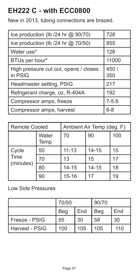### **EH222 C - with ECC0800**

New in 2013, tubing connections are brazed.

| Ice production (Ib /24 hr @ 90/70)               | 728          |
|--------------------------------------------------|--------------|
| Ice production (Ib $/24$ hr $@$ 70/50)           | 855          |
| Water use*                                       | 128          |
| BTUs per hour*                                   | 11000        |
| High pressure cut out, opens / closes<br>in PSIG | 450 /<br>350 |
| Headmaster setting, PSIG                         | 217          |
| Refrigerant charge, oz, R-404A                   | 192          |
| Compressor amps, freeze                          | $7 - 5.6$    |
| Compressor amps, harvest                         | $6 - 8$      |

| <b>Remote Cooled</b>       |               | Ambient Air Temp (deg. F) |           |     |
|----------------------------|---------------|---------------------------|-----------|-----|
|                            | Water<br>Temp | 70                        | 90        | 100 |
| Cycle<br>Time<br>(minutes) | 50            | $11 - 13$                 | $14 - 15$ | 15  |
|                            | 70            | 13                        | 15        | 17  |
|                            | 80            | $14 - 15$                 | $14 - 15$ | 18  |
|                            | 90            | $15 - 16$                 | 17        | 19  |

|                  | 70/50 |     | 90/70 |     |
|------------------|-------|-----|-------|-----|
|                  | Beg   | End | Beg   | End |
| l Freeze - PSIG  | 55    | 30  | 58    | 30  |
| l Harvest - PSIG | 100   | 105 | 105   | 110 |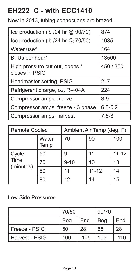### **EH222 C - with ECC1410**

New in 2013, tubing connections are brazed.

| Ice production (Ib /24 hr @ 90/70)               | 874         |
|--------------------------------------------------|-------------|
| Ice production (lb /24 hr @ 70/50)               | 1035        |
| Water use*                                       | 164         |
| BTUs per hour*                                   | 13500       |
| High pressure cut out, opens /<br>closes in PSIG | 450 / 350   |
| Headmaster setting, PSIG                         | 217         |
| Refrigerant charge, oz, R-404A                   | 224         |
| Compressor amps, freeze                          | $8 - 9$     |
| Compressor amps, freeze - 3 phase                | $6.3 - 5.2$ |
| Compressor amps, harvest                         | $7.5 - 8$   |

| <b>Remote Cooled</b>       |               | Ambient Air Temp (deg. F) |           |           |
|----------------------------|---------------|---------------------------|-----------|-----------|
|                            | Water<br>Temp | 70                        | 90        | 100       |
| Cycle<br>Time<br>(minutes) | 50            | g                         | 11        | $11 - 12$ |
|                            | 70            | $9 - 10$                  | 10        | 13        |
|                            | 80            | 11                        | $11 - 12$ | 14        |
|                            | 90            | 12                        | 14        | 15        |

|                | 70/50 |     | 90/70 |     |
|----------------|-------|-----|-------|-----|
|                | Beg   | End | Beg   | End |
| Freeze - PSIG  | 50    | 28  | 55    | 28  |
| Harvest - PSIG | 100   | 105 | 105   | 110 |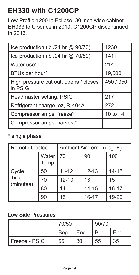## **EH330 with C1200CP**

Low Profile 1200 lb Eclipse. 30 inch wide cabinet. EH333 to C series in 2013. C1200CP discontinued in 2013.

| Ice production (lb /24 hr @ 90/70)               | 1230      |
|--------------------------------------------------|-----------|
| Ice production (Ib $/24$ hr $@$ 70/50)           | 1411      |
| Water use*                                       | 214       |
| BTUs per hour*                                   | 19,000    |
| High pressure cut out, opens / closes<br>in PSIG | 450 / 350 |
| Headmaster setting, PSIG                         | 217       |
| Refrigerant charge, oz, R-404A                   | 272       |
| Compressor amps, freeze*                         | 10 to 14  |
| Compressor amps, harvest*                        |           |

#### \* single phase

| Remote Cooled              |               | Ambient Air Temp (deg. F) |           |           |
|----------------------------|---------------|---------------------------|-----------|-----------|
|                            | Water<br>Temp | 70                        | 100       |           |
| Cycle<br>Time<br>(minutes) | 50            | $11 - 12$                 | $12 - 13$ | $14 - 15$ |
|                            | 70            | $12 - 13$                 | 13        | 15        |
|                            | 80            | 14                        | $14 - 15$ | $16 - 17$ |
|                            | 90            | 15                        | $16 - 17$ | 19-20     |

|                 | 70/50 |     | 90/70 |     |
|-----------------|-------|-----|-------|-----|
|                 | Beg   | End | Bea   | End |
| l Freeze - PSIG | 55    | 30  | 55    | 35  |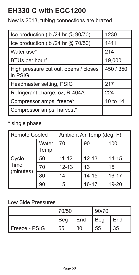### **EH330 C with ECC1200**

New is 2013, tubing connections are brazed.

| Ice production (Ib $/24$ hr $@$ 90/70)           | 1230      |
|--------------------------------------------------|-----------|
| Ice production (Ib $/24$ hr $@$ 70/50)           | 1411      |
| Water use*                                       | 214       |
| BTUs per hour*                                   | 19,000    |
| High pressure cut out, opens / closes<br>in PSIG | 450 / 350 |
| Headmaster setting, PSIG                         | 217       |
| Refrigerant charge, oz, R-404A                   | 224       |
| Compressor amps, freeze*                         | 10 to 14  |
| Compressor amps, harvest*                        |           |

#### \* single phase

| Remote Cooled              |               | Ambient Air Temp (deg. F) |           |           |
|----------------------------|---------------|---------------------------|-----------|-----------|
|                            | Water<br>Temp | 70<br>90                  |           | 100       |
| Cycle<br>Time<br>(minutes) | 50            | $11 - 12$                 | $12 - 13$ | $14 - 15$ |
|                            | 70            | $12 - 13$                 | 13        | 15        |
|                            | 80            | 14                        | $14 - 15$ | $16 - 17$ |
|                            | 90            | 15                        | $16 - 17$ | 19-20     |

|               | 70/50 |     | 90/70 |     |
|---------------|-------|-----|-------|-----|
|               | Beg   | End | Beg   | End |
| Freeze - PSIG | 55    | 30  | 55    | 35  |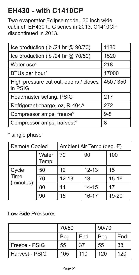### **EH430 - with C1410CP**

Two evaporator Eclipse model. 30 inch wide cabinet. EH430 to C series in 2013, C1410CP discontinued in 2013.

| Ice production (lb /24 hr @ 90/70)               | 1180      |
|--------------------------------------------------|-----------|
| Ice production (Ib $/24$ hr $@$ 70/50)           | 1520      |
| Water use*                                       | 218       |
| BTUs per hour*                                   | 17000     |
| High pressure cut out, opens / closes<br>in PSIG | 450 / 350 |
| Headmaster setting, PSIG                         | 217       |
| Refrigerant charge, oz, R-404A                   | 272       |
| Compressor amps, freeze*                         | $9 - 8$   |
| Compressor amps, harvest*                        | 8         |

#### \* single phase

| Remote Cooled              |               | Ambient Air Temp (deg. F) |           |           |  |
|----------------------------|---------------|---------------------------|-----------|-----------|--|
|                            | Water<br>Temp | 70                        | 100       |           |  |
| Cycle<br>Time<br>(minutes) | 50            | 12                        | $12 - 13$ | 15        |  |
|                            | 70            | $12 - 13$                 | 13        | $15 - 16$ |  |
|                            | 80            | 14                        | $14 - 15$ | 17        |  |
|                            | 90            | 15                        | $16 - 17$ | 19-20     |  |

|                | 70/50 |     | 90/70 |     |
|----------------|-------|-----|-------|-----|
|                | Beg   | End | Beg   | End |
| Freeze - PSIG  | 55    | 37  | 55    | 38  |
| Harvest - PSIG | 105   | 110 | 120   | 120 |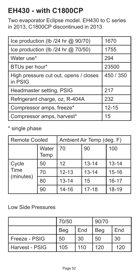### **EH430 - with C1800CP**

Two evaporator Eclipse model. EH430 to C series in 2013, C1800CP discontinued in 2013.

| Ice production (Ib /24 hr @ 90/70)               | 1670      |
|--------------------------------------------------|-----------|
| Ice production (Ib $/24$ hr $@$ 70/50)           | 1755      |
| Water use*                                       | 294       |
| BTUs per hour*                                   | 23500     |
| High pressure cut out, opens / closes<br>in PSIG | 450 / 350 |
| Headmaster setting, PSIG                         | 217       |
| Refrigerant charge, oz, R-404A                   | 232       |
| Compressor amps, freeze*                         | $12 - 15$ |
| Compressor amps, harvest*                        | 15        |

#### \* single phase

| Remote Cooled              |               | Ambient Air Temp (deg. F) |           |           |
|----------------------------|---------------|---------------------------|-----------|-----------|
|                            | Water<br>Temp | 70                        | 90        | 100       |
| Cycle<br>Time<br>(minutes) | 50            | 12                        | $13 - 14$ | $13 - 14$ |
|                            | 70            | $12 - 13$                 | $13 - 14$ | $15 - 16$ |
|                            | 80            | $13 - 14$                 | 15        | $16 - 17$ |
|                            | 90            | $14 - 16$                 | $17 - 18$ | $18 - 19$ |

|                  | 70/50 |     | 90/70 |     |
|------------------|-------|-----|-------|-----|
|                  | Beg   | End | Beg   | End |
| l Freeze - PSIG  | 50    | 30  | 50    | 30  |
| l Harvest - PSIG | 105   | 110 | 120   | 120 |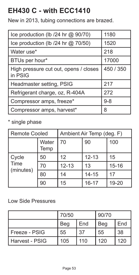### **EH430 C - with ECC1410**

New in 2013, tubing connections are brazed.

| Ice production (Ib /24 hr @ 90/70)               | 1180      |
|--------------------------------------------------|-----------|
| Ice production (lb /24 hr @ 70/50)               | 1520      |
| Water use*                                       | 218       |
| BTUs per hour*                                   | 17000     |
| High pressure cut out, opens / closes<br>in PSIG | 450 / 350 |
| Headmaster setting, PSIG                         | 217       |
| Refrigerant charge, oz, R-404A                   | 272       |
| Compressor amps, freeze*                         | $9 - 8$   |
| Compressor amps, harvest*                        | 8         |

#### \* single phase

| Remote Cooled              |               | Ambient Air Temp (deg. F) |           |           |  |
|----------------------------|---------------|---------------------------|-----------|-----------|--|
|                            | Water<br>Temp | 70                        | 100       |           |  |
| Cycle<br>Time<br>(minutes) | 50            | 12                        | $12 - 13$ | 15        |  |
|                            | 70            | $12 - 13$                 | 13        | $15 - 16$ |  |
|                            | 80            | 14                        | $14 - 15$ | 17        |  |
|                            | 90            | 15                        | $16 - 17$ | 19-20     |  |

|                | 70/50 |     | 90/70 |     |
|----------------|-------|-----|-------|-----|
|                | Beg   | End | Beg   | End |
| Freeze - PSIG  | 55    | 37  | 55    | 38  |
| Harvest - PSIG | 105   | 110 | 120   | 120 |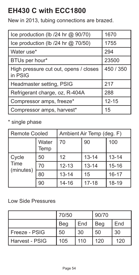### **EH430 C with ECC1800**

New in 2013, tubing connections are brazed.

| Ice production (Ib /24 hr @ 90/70)               | 1670      |
|--------------------------------------------------|-----------|
| Ice production (Ib $/24$ hr $@$ 70/50)           | 1755      |
| Water use*                                       | 294       |
| BTUs per hour*                                   | 23500     |
| High pressure cut out, opens / closes<br>in PSIG | 450 / 350 |
| Headmaster setting, PSIG                         | 217       |
| Refrigerant charge, oz, R-404A                   | 288       |
| Compressor amps, freeze*                         | $12 - 15$ |
| Compressor amps, harvest*                        | 15        |

#### \* single phase

| Remote Cooled              |               | Ambient Air Temp (deg. F) |           |           |
|----------------------------|---------------|---------------------------|-----------|-----------|
|                            | Water<br>Temp | 70                        | 90        | 100       |
| Cycle<br>Time<br>(minutes) | 50            | 12                        | $13 - 14$ | $13 - 14$ |
|                            | 70            | $12 - 13$                 | $13 - 14$ | $15 - 16$ |
|                            | 80            | $13 - 14$                 | 15        | $16 - 17$ |
|                            | 90            | $14 - 16$                 | $17 - 18$ | 18-19     |

|                | 70/50 |     | 90/70 |     |
|----------------|-------|-----|-------|-----|
|                | Beg   | End | Beg   | End |
| Freeze - PSIG  | 50    | 30  | 50    | 30  |
| Harvest - PSIG | 105   | 110 | 120   | 120 |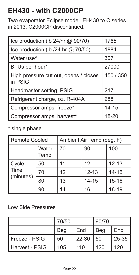### **EH430 - with C2000CP**

Two evaporator Eclipse model. EH430 to C series in 2013, C2000CP discontinued.

| Ice production (Ib 24/hr @ 90/70)                | 1765      |
|--------------------------------------------------|-----------|
| Ice production (lb /24 hr @ 70/50)               | 1884      |
| Water use*                                       | 307       |
| BTUs per hour*                                   | 27000     |
| High pressure cut out, opens / closes<br>in PSIG | 450 / 350 |
| Headmaster setting, PSIG                         | 217       |
| Refrigerant charge, oz, R-404A                   | 288       |
| Compressor amps, freeze*                         | $14 - 15$ |
| Compressor amps, harvest*                        | 18-20     |

#### \* single phase

| <b>Remote Cooled</b> |               | Ambient Air Temp (deg. F) |           |           |
|----------------------|---------------|---------------------------|-----------|-----------|
|                      | Water<br>Temp | 70                        | 90        | 100       |
| Cycle                | 50            | 11                        | 12        | $12 - 13$ |
| Time<br>(minutes)    | 70            | 12                        | $12 - 13$ | $14 - 15$ |
|                      | 80            | 13                        | $14 - 15$ | $15 - 16$ |
|                      | 90            | 14                        | 16        | 18-19     |

|                  | 70/50 |       | 90/70 |       |
|------------------|-------|-------|-------|-------|
|                  | Beg   | End   | Beg   | End   |
| l Freeze - PSIG  | 50    | 22-30 | 50    | 25-35 |
| l Harvest - PSIG | 105   | 110   | 120   | 120   |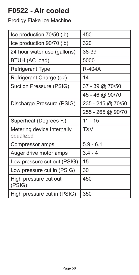# **F0522 - Air cooled**

| Ice production 70/50 (lb)               | 450               |
|-----------------------------------------|-------------------|
| Ice production 90/70 (lb)               | 320               |
| 24 hour water use (gallons)             | 38-39             |
| BTUH (AC load)                          | 5000              |
| Refrigerant Type                        | <b>R-404A</b>     |
| Refrigerant Charge (oz)                 | 14                |
| Suction Pressure (PSIG)                 | 37 - 39 @ 70/50   |
|                                         | 45 - 46 @ 90/70   |
| Discharge Pressure (PSIG)               | 235 - 245 @ 70/50 |
|                                         | 255 - 265 @ 90/70 |
| Superheat (Degrees F.)                  | 11 - 15           |
| Metering device Internally<br>equalized | <b>TXV</b>        |
| Compressor amps                         | $5.9 - 6.1$       |
| Auger drive motor amps                  | $3.4 - 4$         |
| Low pressure cut out (PSIG)             | 15                |
| Low pressure cut in (PSIG)              | 30                |
| High pressure cut out<br>(PSIG)         | 450               |
| High pressure cut in (PSIG)             | 350               |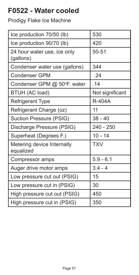# **F0522 - Water cooled**

| Ice production 70/50 (lb)                | 530             |
|------------------------------------------|-----------------|
| Ice production 90/70 (lb)                | 420             |
| 24 hour water use, ice only<br>(gallons) | 50-51           |
| Condenser water use (gallons)            | 344             |
| Condenser GPM                            | .24             |
| Condenser GPM @ 50°F. water              | .14             |
| BTUH (AC load)                           | Not significant |
| <b>Refrigerant Type</b>                  | R-404A          |
| Refrigerant Charge (oz)                  | 11              |
| Suction Pressure (PSIG)                  | 38 - 40         |
| Discharge Pressure (PSIG)                | 240 - 250       |
| Superheat (Degrees F.)                   | $10 - 14$       |
| Metering device Internally<br>equalized  | <b>TXV</b>      |
| Compressor amps                          | $5.9 - 6.1$     |
| Auger drive motor amps                   | $3.4 - 4$       |
| Low pressure cut out (PSIG)              | 15              |
| Low pressure cut in (PSIG)               | 30              |
| High pressure cut out (PSIG)             | 450             |
| High pressure cut in (PSIG)              | 350             |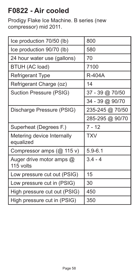## **F0822 - Air cooled**

Prodigy Flake Ice Machine. B series (new compressor) mid 2011.

| Ice production 70/50 (lb)               | 800             |
|-----------------------------------------|-----------------|
| Ice production 90/70 (lb)               | 580             |
| 24 hour water use (gallons)             | 70              |
| BTUH (AC load)                          | 7100            |
| <b>Refrigerant Type</b>                 | <b>R-404A</b>   |
| Refrigerant Charge (oz)                 | 14              |
| Suction Pressure (PSIG)                 | 37 - 39 @ 70/50 |
|                                         | 34 - 39 @ 90/70 |
| Discharge Pressure (PSIG)               | 235-245 @ 70/50 |
|                                         | 285-295 @ 90/70 |
| Superheat (Degrees F.)                  | $7 - 12$        |
| Metering device Internally<br>equalized | <b>TXV</b>      |
| Compressor amps $(Q\ 115 v)$            | $5.9 - 6.1$     |
| Auger drive motor amps @<br>115 volts   | $3.4 - 4$       |
| Low pressure cut out (PSIG)             | 15              |
| Low pressure cut in (PSIG)              | 30              |
| High pressure cut out (PSIG)            | 450             |
| High pressure cut in (PSIG)             | 350             |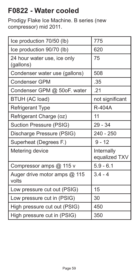# **F0822 - Water cooled**

Prodigy Flake Ice Machine. B series (new compressor) mid 2011.

| Ice production 70/50 (lb)                | 775                         |
|------------------------------------------|-----------------------------|
| Ice production 90/70 (lb)                | 620                         |
| 24 hour water use, ice only<br>(gallons) | 75                          |
| Condenser water use (gallons)            | 508                         |
| Condenser GPM                            | .35                         |
| Condenser GPM @ 50oF. water              | .21                         |
| BTUH (AC load)                           | not significant             |
| <b>Refrigerant Type</b>                  | <b>R-404A</b>               |
| Refrigerant Charge (oz)                  | 11                          |
| Suction Pressure (PSIG)                  | $29 - 34$                   |
| Discharge Pressure (PSIG)                | $240 - 250$                 |
| Superheat (Degrees F.)                   | $9 - 12$                    |
| Metering device                          | Internally<br>equalized TXV |
| Compressor amps @ 115 v                  | $5.9 - 6.1$                 |
| Auger drive motor amps @ 115<br>volts    | $3.4 - 4$                   |
| Low pressure cut out (PSIG)              | 15                          |
| Low pressure cut in (PSIG)               | 30                          |
| High pressure cut out (PSIG)             | 450                         |
| High pressure cut in (PSIG)              | 350                         |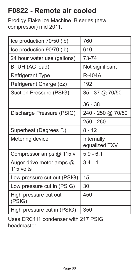# **F0822 - Remote air cooled**

Prodigy Flake Ice Machine. B series (new compressor) mid 2011.

| Ice production 70/50 (lb)             | 760                         |
|---------------------------------------|-----------------------------|
| Ice production 90/70 (lb)             | 610                         |
| 24 hour water use (gallons)           | 73-74                       |
| BTUH (AC load)                        | Not significant             |
| <b>Refrigerant Type</b>               | R-404A                      |
| Refrigerant Charge (oz)               | 192                         |
| Suction Pressure (PSIG)               | 35 - 37 @ 70/50             |
|                                       | $36 - 38$                   |
| Discharge Pressure (PSIG)             | 240 - 250 @ 70/50           |
|                                       | 250 - 260                   |
| Superheat (Degrees F.)                | 8 - 12                      |
| Metering device                       | Internally<br>equalized TXV |
| Compressor amps @ 115 v               | $5.9 - 6.1$                 |
| Auger drive motor amps @<br>115 volts | $3.4 - 4$                   |
| Low pressure cut out (PSIG)           | 15                          |
| Low pressure cut in (PSIG)            | 30                          |
|                                       |                             |
| High pressure cut out<br>(PSIG)       | 450                         |

Uses ERC111 condenser with 217 PSIG headmaster.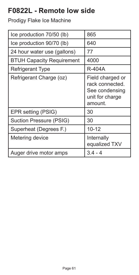# **F0822L - Remote low side**

| Ice production 70/50 (lb)        | 865                                                                                 |
|----------------------------------|-------------------------------------------------------------------------------------|
| Ice production 90/70 (lb)        | 640                                                                                 |
| 24 hour water use (gallons)      | 77                                                                                  |
| <b>BTUH Capacity Requirement</b> | 4000                                                                                |
| Refrigerant Type                 | R-404A                                                                              |
| Refrigerant Charge (oz)          | Field charged or<br>rack connected.<br>See condensing<br>unit for charge<br>amount. |
| EPR setting (PSIG)               | 30                                                                                  |
| Suction Pressure (PSIG)          | 30                                                                                  |
| Superheat (Degrees F.)           | $10 - 12$                                                                           |
| Metering device                  | Internally<br>equalized TXV                                                         |
| Auger drive motor amps           | $3.4 - 4$                                                                           |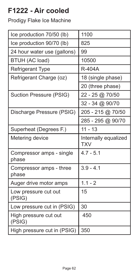## **F1222 - Air cooled**

| Ice production 70/50 (lb)         | 1100                               |
|-----------------------------------|------------------------------------|
| Ice production 90/70 (lb)         | 825                                |
| 24 hour water use (gallons)       | 99                                 |
| BTUH (AC load)                    | 10500                              |
| <b>Refrigerant Type</b>           | <b>R-404A</b>                      |
| Refrigerant Charge (oz)           | 18 (single phase)                  |
|                                   | 20 (three phase)                   |
| Suction Pressure (PSIG)           | 22 - 25 @ 70/50                    |
|                                   | 32 - 34 @ 90/70                    |
| Discharge Pressure (PSIG)         | 205 - 215 @ 70/50                  |
|                                   | 285 - 295 @ 90/70                  |
| Superheat (Degrees F.)            | $11 - 13$                          |
| Metering device                   | Internally equalized<br><b>TXV</b> |
| Compressor amps - single<br>phase | $4.7 - 5.1$                        |
| Compressor amps - three<br>phase  | $3.9 - 4.1$                        |
| Auger drive motor amps            | $1.1 - 2$                          |
| Low pressure cut out<br>(PSIG)    | 15                                 |
| Low pressure cut in (PSIG)        | 30                                 |
| High pressure cut out<br>(PSIG)   | 450                                |
| High pressure cut in (PSIG)       | 350                                |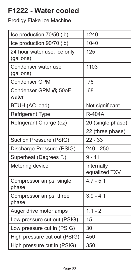# **F1222 - Water cooled**

| Ice production 70/50 (lb)                | 1240                        |
|------------------------------------------|-----------------------------|
| Ice production 90/70 (lb)                | 1040                        |
| 24 hour water use, ice only<br>(gallons) | 125                         |
| Condenser water use<br>(gallons)         | 1103                        |
| <b>Condenser GPM</b>                     | .76                         |
| Condenser GPM @ 50oF.<br>water           | .68                         |
| BTUH (AC load)                           | Not significant             |
| Refrigerant Type                         | <b>R-404A</b>               |
| Refrigerant Charge (oz)                  | 20 (single phase)           |
|                                          | 22 (three phase)            |
| Suction Pressure (PSIG)                  | $22 - 33$                   |
| Discharge Pressure (PSIG)                | 240 - 250                   |
| Superheat (Degrees F.)                   | $9 - 11$                    |
| Metering device                          | Internally<br>equalized TXV |
| Compressor amps, single<br>phase         | $4.7 - 5.1$                 |
| Compressor amps, three<br>phase          | $3.9 - 4.1$                 |
| Auger drive motor amps                   | $1.1 - 2$                   |
| Low pressure cut out (PSIG)              | 15                          |
| Low pressure cut in (PSIG)               | 30                          |
| High pressure cut out (PSIG)             | 450                         |
| High pressure cut in (PSIG)              | 350                         |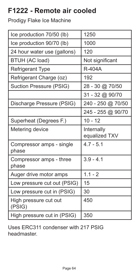# **F1222 - Remote air cooled**

### Prodigy Flake Ice Machine

| Ice production 70/50 (lb)         | 1250                        |
|-----------------------------------|-----------------------------|
| Ice production 90/70 (lb)         | 1000                        |
| 24 hour water use (gallons)       | 120                         |
| BTUH (AC load)                    | Not significant             |
| Refrigerant Type                  | R-404A                      |
| Refrigerant Charge (oz)           | 192                         |
| Suction Pressure (PSIG)           | 28 - 30 @ 70/50             |
|                                   | 31 - 32 @ 90/70             |
| Discharge Pressure (PSIG)         | 240 - 250 @ 70/50           |
|                                   | 245 - 255 @ 90/70           |
| Superheat (Degrees F.)            | $10 - 12$                   |
|                                   |                             |
| Metering device                   | Internally<br>equalized TXV |
| Compressor amps - single<br>phase | $4.7 - 5.1$                 |
| Compressor amps - three<br>phase  | $3.9 - 4.1$                 |
| Auger drive motor amps            | $1.1 - 2$                   |
| Low pressure cut out (PSIG)       | 15                          |
| Low pressure cut in (PSIG)        | 30                          |
| High pressure cut out<br>(PSIG)   | 450                         |

Uses ERC311 condenser with 217 PSIG headmaster.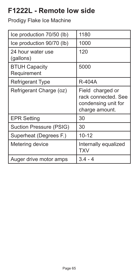# **F1222L - Remote low side**

| Ice production 70/50 (lb)           | 1180                                                                             |
|-------------------------------------|----------------------------------------------------------------------------------|
| Ice production 90/70 (lb)           | 1000                                                                             |
| 24 hour water use<br>(gallons)      | 120                                                                              |
| <b>BTUH Capacity</b><br>Requirement | 5000                                                                             |
| Refrigerant Type                    | R-404A                                                                           |
| Refrigerant Charge (oz)             | Field charged or<br>rack connected. See<br>condensing unit for<br>charge amount. |
| <b>EPR Setting</b>                  | 30                                                                               |
| Suction Pressure (PSIG)             | 30                                                                               |
| Superheat (Degrees F.)              | $10 - 12$                                                                        |
| Metering device                     | Internally equalized<br>TXV                                                      |
| Auger drive motor amps              | 3.4 - 4                                                                          |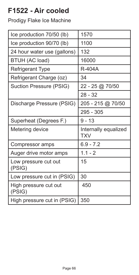## **F1522 - Air cooled**

| Ice production 70/50 (lb)       | 1570                               |
|---------------------------------|------------------------------------|
| Ice production 90/70 (lb)       | 1100                               |
| 24 hour water use (gallons)     | 132                                |
| BTUH (AC load)                  | 16000                              |
| Refrigerant Type                | R-404A                             |
| Refrigerant Charge (oz)         | 34                                 |
| Suction Pressure (PSIG)         | 22 - 25 @ 70/50                    |
|                                 | $28 - 32$                          |
| Discharge Pressure (PSIG)       | 205 - 215 @ 70/50                  |
|                                 | 295 - 305                          |
|                                 |                                    |
| Superheat (Degrees F.)          | $9 - 13$                           |
| Metering device                 | Internally equalized<br><b>TXV</b> |
| Compressor amps                 | $6.9 - 7.2$                        |
| Auger drive motor amps          | $1.1 - 2$                          |
| Low pressure cut out<br>(PSIG)  | 15                                 |
| Low pressure cut in (PSIG)      | 30                                 |
| High pressure cut out<br>(PSIG) | 450                                |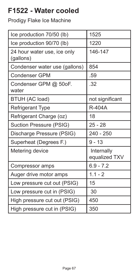# **F1522 - Water cooled**

| Ice production 70/50 (lb)                | 1525                        |
|------------------------------------------|-----------------------------|
| Ice production 90/70 (lb)                | 1220                        |
| 24 hour water use, ice only<br>(gallons) | 146-147                     |
| Condenser water use (gallons)            | 854                         |
| <b>Condenser GPM</b>                     | .59                         |
| Condenser GPM @ 50oF.<br>water           | .32                         |
| BTUH (AC load)                           | not significant             |
| Refrigerant Type                         | R-404A                      |
| Refrigerant Charge (oz)                  | 18                          |
| Suction Pressure (PSIG)                  | $25 - 28$                   |
| Discharge Pressure (PSIG)                | 240 - 250                   |
| Superheat (Degrees F.)                   | $9 - 13$                    |
| Metering device                          | Internally<br>equalized TXV |
| Compressor amps                          | $6.9 - 7.2$                 |
| Auger drive motor amps                   | $1.1 - 2$                   |
| Low pressure cut out (PSIG)              | 15                          |
| Low pressure cut in (PSIG)               | 30                          |
| High pressure cut out (PSIG)             | 450                         |
| High pressure cut in (PSIG)              | 350                         |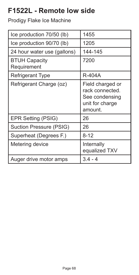# **F1522L - Remote low side**

| Ice production 70/50 (lb)           | 1455                                                                                |
|-------------------------------------|-------------------------------------------------------------------------------------|
| Ice production 90/70 (lb)           | 1205                                                                                |
| 24 hour water use (gallons)         | 144-145                                                                             |
| <b>BTUH Capacity</b><br>Requirement | 7200                                                                                |
| Refrigerant Type                    | R-404A                                                                              |
| Refrigerant Charge (oz)             | Field charged or<br>rack connected.<br>See condensing<br>unit for charge<br>amount. |
| EPR Setting (PSIG)                  | 26                                                                                  |
| Suction Pressure (PSIG)             | 26                                                                                  |
| Superheat (Degrees F.)              | $8 - 12$                                                                            |
| Metering device                     | Internally<br>equalized TXV                                                         |
| Auger drive motor amps              | $3.4 - 4$                                                                           |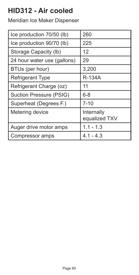# **HID312 - Air cooled**

| Ice production 70/50 (lb)   | 260                         |
|-----------------------------|-----------------------------|
| Ice production 90/70 (lb)   | 225                         |
| Storage Capacity (lb)       | 12                          |
| 24 hour water use (gallons) | 29                          |
| BTUs (per hour)             | 3,200                       |
| <b>Refrigerant Type</b>     | <b>R-134A</b>               |
| Refrigerant Charge (oz)     | 11                          |
| Suction Pressure (PSIG)     | $6 - 8$                     |
| Superheat (Degrees F.)      | $7 - 10$                    |
| Metering device             | Internally<br>equalized TXV |
| Auger drive motor amps      | $1.1 - 1.3$                 |
| Compressor amps             | 4.1 - 4.3                   |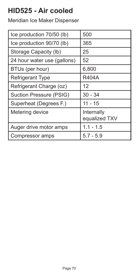# **HID525 - Air cooled**

| Ice production 70/50 (lb)   | 500                         |
|-----------------------------|-----------------------------|
| Ice production 90/70 (lb)   | 365                         |
| Storage Capacity (lb)       | 25                          |
| 24 hour water use (gallons) | 52                          |
| BTUs (per hour)             | 6,800                       |
| <b>Refrigerant Type</b>     | <b>R404A</b>                |
| Refrigerant Charge (oz)     | 12                          |
| Suction Pressure (PSIG)     | $30 - 34$                   |
| Superheat (Degrees F.)      | $11 - 15$                   |
| Metering device             | Internally<br>equalized TXV |
| Auger drive motor amps      | $1.1 - 1.5$                 |
| Compressor amps             | $5.7 - 5.9$                 |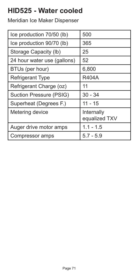### **HID525 - Water cooled**

| Ice production 70/50 (lb)   | 500                         |
|-----------------------------|-----------------------------|
| Ice production 90/70 (lb)   | 365                         |
| Storage Capacity (lb)       | 25                          |
| 24 hour water use (gallons) | 52                          |
| BTUs (per hour)             | 6,800                       |
| <b>Refrigerant Type</b>     | <b>R404A</b>                |
| Refrigerant Charge (oz)     | 11                          |
| Suction Pressure (PSIG)     | $30 - 34$                   |
| Superheat (Degrees F.)      | $11 - 15$                   |
| Metering device             | Internally<br>equalized TXV |
| Auger drive motor amps      | $1.1 - 1.5$                 |
| Compressor amps             | $5.7 - 5.9$                 |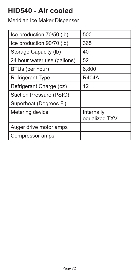# **HID540 - Air cooled**

| Ice production 70/50 (lb)   | 500                         |
|-----------------------------|-----------------------------|
| Ice production 90/70 (lb)   | 365                         |
| Storage Capacity (lb)       | 40                          |
| 24 hour water use (gallons) | 52                          |
| BTUs (per hour)             | 6,800                       |
| <b>Refrigerant Type</b>     | <b>R404A</b>                |
| Refrigerant Charge (oz)     | 12                          |
| Suction Pressure (PSIG)     |                             |
| Superheat (Degrees F.)      |                             |
| Metering device             | Internally<br>equalized TXV |
| Auger drive motor amps      |                             |
| Compressor amps             |                             |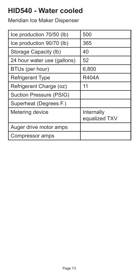### **HID540 - Water cooled**

Meridian Ice Maker Dispenser

| Ice production 70/50 (lb)   | 500                         |
|-----------------------------|-----------------------------|
| Ice production 90/70 (lb)   | 365                         |
| Storage Capacity (lb)       | 40                          |
| 24 hour water use (gallons) | 52                          |
| BTUs (per hour)             | 6,800                       |
| <b>Refrigerant Type</b>     | <b>R404A</b>                |
| Refrigerant Charge (oz)     | 11                          |
| Suction Pressure (PSIG)     |                             |
| Superheat (Degrees F.)      |                             |
| Metering device             | Internally<br>equalized TXV |
| Auger drive motor amps      |                             |
| Compressor amps             |                             |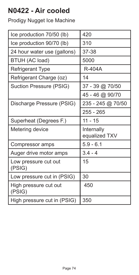# **N0422 - Air cooled**

| Ice production 70/50 (lb)       | 420                         |
|---------------------------------|-----------------------------|
| Ice production 90/70 (lb)       | 310                         |
| 24 hour water use (gallons)     | 37-38                       |
| BTUH (AC load)                  | 5000                        |
| Refrigerant Type                | R-404A                      |
| Refrigerant Charge (oz)         | 14                          |
| Suction Pressure (PSIG)         | 37 - 39 @ 70/50             |
|                                 | 45 - 46 @ 90/70             |
| Discharge Pressure (PSIG)       | 235 - 245 @ 70/50           |
|                                 | 255 - 265                   |
|                                 |                             |
| Superheat (Degrees F.)          | $11 - 15$                   |
| Metering device                 | Internally<br>equalized TXV |
| Compressor amps                 | $5.9 - 6.1$                 |
| Auger drive motor amps          | $3.4 - 4$                   |
| Low pressure cut out<br>(PSIG)  | 15                          |
| Low pressure cut in (PSIG)      | 30                          |
| High pressure cut out<br>(PSIG) | 450                         |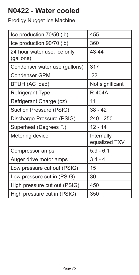# **N0422 - Water cooled**

| Ice production 70/50 (lb)                | 455                         |
|------------------------------------------|-----------------------------|
| Ice production 90/70 (lb)                | 360                         |
| 24 hour water use, ice only<br>(gallons) | 43-44                       |
| Condenser water use (gallons)            | 317                         |
| Condenser GPM                            | .22                         |
| BTUH (AC load)                           | Not significant             |
| Refrigerant Type                         | <b>R-404A</b>               |
| Refrigerant Charge (oz)                  | 11                          |
| Suction Pressure (PSIG)                  | $38 - 42$                   |
| Discharge Pressure (PSIG)                | 240 - 250                   |
| Superheat (Degrees F.)                   | $12 - 14$                   |
| Metering device                          | Internally<br>equalized TXV |
| Compressor amps                          | $5.9 - 6.1$                 |
| Auger drive motor amps                   | $3.4 - 4$                   |
| Low pressure cut out (PSIG)              | 15                          |
| Low pressure cut in (PSIG)               | 30                          |
| High pressure cut out (PSIG)             | 450                         |
| High pressure cut in (PSIG)              | 350                         |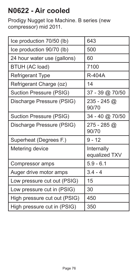# **N0622 - Air cooled**

Prodigy Nugget Ice Machine. B series (new compressor) mid 2011.

| Ice production 70/50 (lb)    | 643                         |
|------------------------------|-----------------------------|
| Ice production 90/70 (lb)    | 500                         |
| 24 hour water use (gallons)  | 60                          |
| BTUH (AC load)               | 7100                        |
| Refrigerant Type             | R-404A                      |
| Refrigerant Charge (oz)      | 14                          |
| Suction Pressure (PSIG)      | 37 - 39 @ 70/50             |
| Discharge Pressure (PSIG)    | $235 - 245$ @<br>90/70      |
| Suction Pressure (PSIG)      | 34 - 40 @ 70/50             |
| Discharge Pressure (PSIG)    | 275 - 285 @<br>90/70        |
| Superheat (Degrees F.)       | $9 - 12$                    |
| Metering device              | Internally<br>equalized TXV |
| Compressor amps              | $5.9 - 6.1$                 |
| Auger drive motor amps       | $3.4 - 4$                   |
| Low pressure cut out (PSIG)  | 15                          |
| Low pressure cut in (PSIG)   | 30                          |
| High pressure cut out (PSIG) | 450                         |
| High pressure cut in (PSIG)  | 350                         |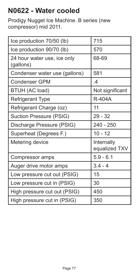# **N0622 - Water cooled**

Prodigy Nugget Ice Machine. B series (new compressor) mid 2011.

| Ice production 70/50 (lb)                | 715                         |
|------------------------------------------|-----------------------------|
| Ice production 90/70 (lb)                | 570                         |
| 24 hour water use, ice only<br>(gallons) | 68-69                       |
| Condenser water use (gallons)            | 581                         |
| Condenser GPM                            | $\overline{A}$              |
| BTUH (AC load)                           | Not significant             |
| Refrigerant Type                         | R-404A                      |
| Refrigerant Charge (oz)                  | 11                          |
| Suction Pressure (PSIG)                  | $29 - 32$                   |
| Discharge Pressure (PSIG)                | 240 - 250                   |
| Superheat (Degrees F.)                   | $10 - 12$                   |
| Metering device                          | Internally<br>equalized TXV |
| Compressor amps                          | $5.9 - 6.1$                 |
| Auger drive motor amps                   | $3.4 - 4$                   |
| Low pressure cut out (PSIG)              | 15                          |
| Low pressure cut in (PSIG)               | 30                          |
| High pressure cut out (PSIG)             | 450                         |
| High pressure cut in (PSIG)              | 350                         |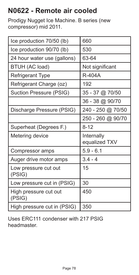# **N0622 - Remote air cooled**

Prodigy Nugget Ice Machine. B series (new compressor) mid 2011.

| Ice production 70/50 (lb)       | 660                         |
|---------------------------------|-----------------------------|
| Ice production 90/70 (lb)       | 530                         |
| 24 hour water use (gallons)     | 63-64                       |
| BTUH (AC load)                  | Not significant             |
| Refrigerant Type                | R-404A                      |
| Refrigerant Charge (oz)         | 192                         |
| Suction Pressure (PSIG)         | 35 - 37 @ 70/50             |
|                                 | 36 - 38 @ 90/70             |
| Discharge Pressure (PSIG)       | 240 - 250 @ 70/50           |
|                                 | 250 - 260 @ 90/70           |
|                                 |                             |
| Superheat (Degrees F.)          | $8 - 12$                    |
| Metering device                 | Internally<br>equalized TXV |
| Compressor amps                 | $5.9 - 6.1$                 |
| Auger drive motor amps          | $3.4 - 4$                   |
| Low pressure cut out<br>(PSIG)  | 15                          |
| Low pressure cut in (PSIG)      | 30                          |
| High pressure cut out<br>(PSIG) | 450                         |

Uses ERC111 condenser with 217 PSIG headmaster.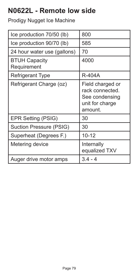# **N0622L - Remote low side**

| Ice production 70/50 (lb)           | 800                                                                                 |
|-------------------------------------|-------------------------------------------------------------------------------------|
| Ice production 90/70 (lb)           | 585                                                                                 |
| 24 hour water use (gallons)         | 70                                                                                  |
| <b>BTUH Capacity</b><br>Requirement | 4000                                                                                |
| Refrigerant Type                    | R-404A                                                                              |
| Refrigerant Charge (oz)             | Field charged or<br>rack connected.<br>See condensing<br>unit for charge<br>amount. |
| EPR Setting (PSIG)                  | 30                                                                                  |
| Suction Pressure (PSIG)             | 30                                                                                  |
| Superheat (Degrees F.)              | $10 - 12$                                                                           |
| Metering device                     | Internally<br>equalized TXV                                                         |
| Auger drive motor amps              | $3.4 - 4$                                                                           |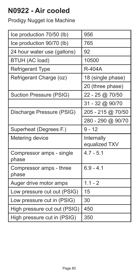# **N0922 - Air cooled**

| Ice production 70/50 (lb)         | 956                          |
|-----------------------------------|------------------------------|
| Ice production 90/70 (lb)         | 765                          |
| 24 hour water use (gallons)       | 92                           |
| BTUH (AC load)                    | 10500                        |
| <b>Refrigerant Type</b>           | R-404A                       |
| Refrigerant Charge (oz)           | 18 (single phase)            |
|                                   | 20 (three phase)             |
| Suction Pressure (PSIG)           | 22 - 25 @ 70/50              |
|                                   | 31 - 32 @ 90/70              |
| Discharge Pressure (PSIG)         | 205 - 215 @ 70/50            |
|                                   | 280 - 290 @ 90/70            |
| Superheat (Degrees F.)            | $9 - 12$                     |
|                                   |                              |
| Metering device                   | Internally                   |
| Compressor amps - single<br>phase | equalized TXV<br>$4.7 - 5.1$ |
| Compressor amps - three<br>phase  | $6.9 - 4.1$                  |
| Auger drive motor amps            | $1.1 - 2$                    |
| Low pressure cut out (PSIG)       | 15                           |
| Low pressure cut in (PSIG)        | 30                           |
| High pressure cut out (PSIG)      | 450                          |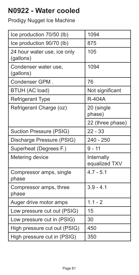# **N0922 - Water cooled**

| Ice production 70/50 (lb)                | 1094                        |
|------------------------------------------|-----------------------------|
| Ice production 90/70 (lb)                | 875                         |
| 24 hour water use, ice only<br>(gallons) | 105                         |
| Condenser water use.<br>(gallons)        | 1094                        |
| Condenser GPM.                           | 76                          |
| BTUH (AC load)                           | Not significant             |
| <b>Refrigerant Type</b>                  | <b>R-404A</b>               |
| Refrigerant Charge (oz)                  | 20 (single<br>phase)        |
|                                          | 22 (three phase)            |
| Suction Pressure (PSIG)                  | $22 - 33$                   |
|                                          |                             |
| Discharge Pressure (PSIG)                | $240 - 250$                 |
| Superheat (Degrees F.)                   | $9 - 11$                    |
| Metering device                          | Internally<br>equalized TXV |
| Compressor amps, single<br>phase         | $4.7 - 5.1$                 |
| Compressor amps, three<br>phase          | $3.9 - 4.1$                 |
| Auger drive motor amps                   | $1.1 - 2$                   |
| Low pressure cut out (PSIG)              | 15                          |
| Low pressure cut in (PSIG)               | 30                          |
| High pressure cut out (PSIG)             | 450                         |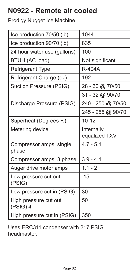# **N0922 - Remote air cooled**

Prodigy Nugget Ice Machine

| Ice production 70/50 (lb)         | 1044              |
|-----------------------------------|-------------------|
| Ice production 90/70 (lb)         | 835               |
| 24 hour water use (gallons)       | 100               |
| BTUH (AC load)                    | Not significant   |
| <b>Refrigerant Type</b>           | R-404A            |
| Refrigerant Charge (oz)           | 192               |
| Suction Pressure (PSIG)           | 28 - 30 @ 70/50   |
|                                   | 31 - 32 @ 90/70   |
| Discharge Pressure (PSIG)         | 240 - 250 @ 70/50 |
|                                   | 245 - 255 @ 90/70 |
| Superheat (Degrees F.)            | $10 - 12$         |
| Metering device                   | Internally        |
|                                   | equalized TXV     |
| Compressor amps, single           | $4.7 - 5.1$       |
| phase                             |                   |
| Compressor amps, 3 phase          | $3.9 - 4.1$       |
| Auger drive motor amps            | $1.1 - 2$         |
| Low pressure cut out<br>(PSIG)    | 15                |
| Low pressure cut in (PSIG)        | 30                |
| High pressure cut out<br>(PSIG) 4 | 50                |

Uses ERC311 condenser with 217 PSIG headmaster.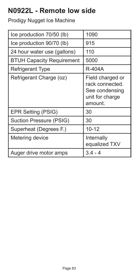# **N0922L - Remote low side**

| Ice production 70/50 (lb)        | 1090                                                                                |
|----------------------------------|-------------------------------------------------------------------------------------|
| Ice production 90/70 (lb)        | 915                                                                                 |
| 24 hour water use (gallons)      | 110                                                                                 |
| <b>BTUH Capacity Requirement</b> | 5000                                                                                |
| Refrigerant Type                 | <b>R-404A</b>                                                                       |
| Refrigerant Charge (oz)          | Field charged or<br>rack connected.<br>See condensing<br>unit for charge<br>amount. |
| EPR Setting (PSIG)               | 30                                                                                  |
| Suction Pressure (PSIG)          | 30                                                                                  |
| Superheat (Degrees F.)           | $10 - 12$                                                                           |
| Metering device                  | Internally<br>equalized TXV                                                         |
| Auger drive motor amps           | 3.4 -                                                                               |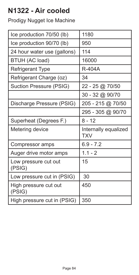# **N1322 - Air cooled**

| Ice production 70/50 (lb)       | 1180                               |
|---------------------------------|------------------------------------|
| Ice production 90/70 (lb)       | 950                                |
| 24 hour water use (gallons)     | 114                                |
| BTUH (AC load)                  | 16000                              |
| Refrigerant Type                | R-404A                             |
| Refrigerant Charge (oz)         | 34                                 |
| Suction Pressure (PSIG)         | 22 - 25 @ 70/50                    |
|                                 | 30 - 32 @ 90/70                    |
| Discharge Pressure (PSIG)       | 205 - 215 @ 70/50                  |
|                                 | 295 - 305 @ 90/70                  |
|                                 |                                    |
| Superheat (Degrees F.)          | $8 - 12$                           |
| Metering device                 | Internally equalized<br><b>TXV</b> |
| Compressor amps                 | $6.9 - 7.2$                        |
| Auger drive motor amps          | $1.1 - 2$                          |
| Low pressure cut out<br>(PSIG)  | 15                                 |
| Low pressure cut in (PSIG)      | 30                                 |
| High pressure cut out<br>(PSIG) | 450                                |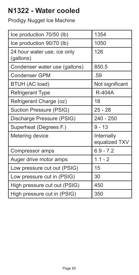# **N1322 - Water cooled**

| Ice production 70/50 (lb)                | 1354                        |
|------------------------------------------|-----------------------------|
| Ice production 90/70 (lb)                | 1050                        |
| 24 hour water use, ice only<br>(gallons) | 126                         |
| Condenser water use (gallons)            | 850.5                       |
| Condenser GPM                            | .59                         |
| BTUH (AC load)                           | Not significant             |
| Refrigerant Type                         | R-404A                      |
| Refrigerant Charge (oz)                  | 18                          |
| Suction Pressure (PSIG)                  | 25 - 28                     |
|                                          |                             |
| Discharge Pressure (PSIG)                | 240 - 250                   |
| Superheat (Degrees F.)                   | $9 - 13$                    |
| Metering device                          | Internally<br>equalized TXV |
| Compressor amps                          | $6.9 - 7.2$                 |
| Auger drive motor amps                   | $1.1 - 2$                   |
| Low pressure cut out (PSIG)              | 15                          |
| Low pressure cut in (PSIG)               | 30                          |
| High pressure cut out (PSIG)             | 450                         |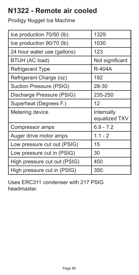# **N1322 - Remote air cooled**

Prodigy Nugget Ice Machine

| Ice production 70/50 (lb)    | 1329                        |
|------------------------------|-----------------------------|
| Ice production 90/70 (lb)    | 1030                        |
| 24 hour water use (gallons)  | 123                         |
| BTUH (AC load)               | Not significant             |
| Refrigerant Type             | R-404A                      |
| Refrigerant Charge (oz)      | 192                         |
| Suction Pressure (PSIG)      | 28-30                       |
| Discharge Pressure (PSIG)    | 235-250                     |
| Superheat (Degrees F.)       | 12                          |
| Metering device              | Internally<br>equalized TXV |
| Compressor amps              | $6.9 - 7.2$                 |
| Auger drive motor amps       | $1.1 - 2$                   |
| Low pressure cut out (PSIG)  | 15                          |
| Low pressure cut in (PSIG)   | 30                          |
| High pressure cut out (PSIG) | 450                         |
| High pressure cut in (PSIG)  | 350                         |

Uses ERC311 condenser with 217 PSIG headmaster.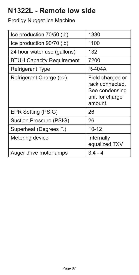# **N1322L - Remote low side**

| Ice production 70/50 (lb)        | 1330                                                                                |
|----------------------------------|-------------------------------------------------------------------------------------|
| Ice production 90/70 (lb)        | 1100                                                                                |
| 24 hour water use (gallons)      | 132                                                                                 |
| <b>BTUH Capacity Requirement</b> | 7200                                                                                |
| Refrigerant Type                 | R-404A                                                                              |
| Refrigerant Charge (oz)          | Field charged or<br>rack connected.<br>See condensing<br>unit for charge<br>amount. |
| EPR Setting (PSIG)               | 26                                                                                  |
| Suction Pressure (PSIG)          | 26                                                                                  |
| Superheat (Degrees F.)           | $10 - 12$                                                                           |
| Metering device                  | Internally<br>equalized TXV                                                         |
| Auger drive motor amps           | 3.4                                                                                 |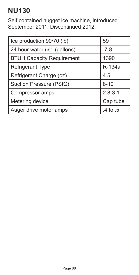# **NU130**

Self contained nugget ice machine, introduced September 2011. Discontinued 2012.

| Ice production 90/70 (lb)        | 59          |
|----------------------------------|-------------|
| 24 hour water use (gallons)      | $7 - 8$     |
| <b>BTUH Capacity Requirement</b> | 1390        |
| <b>Refrigerant Type</b>          | R-134a      |
| Refrigerant Charge (oz)          | 4.5         |
| Suction Pressure (PSIG)          | $8 - 10$    |
| Compressor amps                  | $2.8 - 3.1$ |
| Metering device                  | Cap tube    |
| Auger drive motor amps           | .4 to .5    |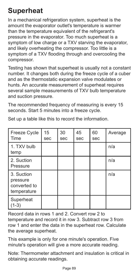# **Superheat**

In a mechanical refrigeration system, superheat is the amount the evaporator outlet's temperature is warmer than the temperature equivalent of the refrigerant's pressure in the evaporator. Too much superheat is a symptom of low charge or a TXV starving the evaporator. and likely overheating the compressor. Too little is a symptom of a TXV flooding through and overcooling the compressor.

Testing has shown that superheat is usually not a constant number. It changes both during the freeze cycle of a cuber and as the thermostatic expansion valve modulates or hunts. An accurate measurement of superheat requires several sample measurements of TXV bulb temperature and suction pressure.

The recommended frequency of measuring is every 15 seconds. Start 5 minutes into a freeze cycle.

| Freeze Cycle<br>Time                                  | 15<br>sec | 30<br>sec | 45<br>sec | 60<br>sec | Average |
|-------------------------------------------------------|-----------|-----------|-----------|-----------|---------|
| 1. TXV bulb<br>temp                                   |           |           |           |           | n/a     |
| 2. Suction<br>Pressure                                |           |           |           |           | n/a     |
| 3. Suction<br>pressure<br>converted to<br>temperature |           |           |           |           | n/a     |
| Superheat<br>(1-3)                                    |           |           |           |           |         |

Set up a table like this to record the information.

Record data in rows 1 and 2. Convert row 2 to temperature and record it in row 3. Subtract row 3 from row 1 and enter the data in the superheat row. Calculate the average superheat.

This example is only for one minute's operation. Five minute's operation will give a more accurate reading.

Note: Thermometer attachment and insulation is critical in obtaining accurate readings.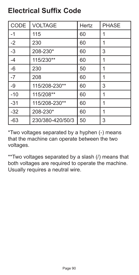#### **Electrical Suffix Code**

| <b>CODE</b>     | <b>VOLTAGE</b>   | Hertz | <b>PHASE</b> |
|-----------------|------------------|-------|--------------|
| $-1$            | 115              | 60    | 1            |
| $ -2$           | 230              | 60    | 1            |
| $\overline{-3}$ | 208-230*         | 60    | 3            |
| $-4$            | 115/230**        | 60    | 1            |
| $-6$            | 230              | 50    | 1            |
| $\overline{-7}$ | 208              | 60    | 1            |
| $-9$            | 115/208-230**    | 60    | 3            |
| $-10$           | 115/208**        | 60    | 1            |
| $-31$           | 115/208-230**    | 60    | 1            |
| $-32$           | 208-230*         | 60    | 1            |
| $-63$           | 230/380-420/50/3 | 50    | 3            |

\*Two voltages separated by a hyphen (-) means that the machine can operate between the two voltages.

\*\*Two voltages separated by a slash (/) means that both voltages are required to operate the machine. Usually requires a neutral wire.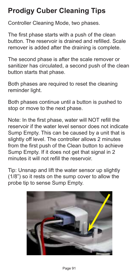# **Prodigy Cuber Cleaning Tips**

Controller Cleaning Mode, two phases.

The first phase starts with a push of the clean button. The reservoir is drained and refilled. Scale remover is added after the draining is complete.

The second phase is after the scale remover or sanitizer has circulated, a second push of the clean button starts that phase.

Both phases are required to reset the cleaning reminder light.

Both phases continue until a button is pushed to stop or move to the next phase.

Note: In the first phase, water will NOT refill the reservoir if the water level sensor does not indicate Sump Empty. This can be caused by a unit that is slightly off level. The controller allows 2 minutes from the first push of the Clean button to achieve Sump Empty. If it does not get that signal in 2 minutes it will not refill the reservoir.

Tip: Unsnap and lift the water sensor up slightly (1/8") so it rests on the sump cover to allow the probe tip to sense Sump Empty.

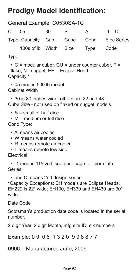# **Prodigy Model Identification:**

General Example: C0530SA-1C

| $\mathbf{C}$ | 05                    | 30 | S S | A         | $-1$ C                                   |
|--------------|-----------------------|----|-----|-----------|------------------------------------------|
|              |                       |    |     |           | Type Capacity Cab. Cube Cond Elec Series |
|              | 100s of Ib Width Size |    |     | Type Code |                                          |

Type:

 $\cdot$  C = modular cuber, CU = under counter cuber, F = flake, N= nugget, EH = Eclipse Head Capacity:\*

• 05 means 500 lb model Cabinet Width

• 30 is 30 inches wide, others are 22 and 48 Cube Size - not used on flaked or nugget models

 $\cdot$  S = small or half dice

• M = medium or full dice Cond Type:

- A means air cooled
- W means water cooled
- R means remote air cooled
- L means remote low side Electrical:

• -1 means 115 volt, see prior page for more info. Series:

• and C means 2nd design series.

\*Capacity Exceptions: EH models are Eclipse Heads, EH222 is 22" wide; EH130, EH330 and EH430 are 30" wide.

Date Code

Scotsman's production date code is located in the serial number.

2 digit Year, 2 digit Month, mfg site ID, six numbers

Example: 0 9 0 6 1 3 2 0 9 9 8 8 7 7

0906 = Manufactured June, 2009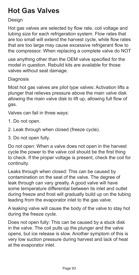# **Hot Gas Valves**

#### **Design**

Hot gas valves are selected by flow rate, coil voltage and tubing size for each refrigeration system. Flow rates that are too small will extend the harvest cycle, while flow rates that are too large may cause excessive refrigerant flow to the compressor. When replacing a complete valve do NOT

use anything other than the OEM valve specified for the model in question. Rebuild kits are available for those valves without seat damage.

Diagnosis

Most hot gas valves are pilot type valves: Activation lifts a plunger that relieves pressure above the main valve disk allowing the main valve disk to lift up, allowing full flow of gas.

Valves can fail in three ways:

- 1. Do not open.
- 2. Leak through when closed (freeze cycle).
- 3. Do not open fully.

Do not open: When a valve does not open in the harvest cycle the power to the valve coil should be the first thing to check. If the proper voltage is present, check the coil for continuity.

Leaks through when closed: This can be caused by contamination on the seat of the valve. The degree of leak through can vary greatly. A good valve will have some temperature differential between its inlet and outlet during freeze and frost will gradually build up on the tubing leading from the evaporator inlet to the gas valve.

A leaking valve will cause the body of the valve to stay hot during the freeze cycle.

Does not open fully: This can be caused by a stuck disk in the valve. The coil pulls up the plunger and the valve opens, but ice release is slow. Another symptom of this is very low suction pressure during harvest and lack of heat at the evaporator inlet.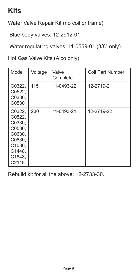#### **Kits**

Water Valve Repair Kit (no coil or frame)

Blue body valves: 12-2912-01

Water regulating valves: 11-0559-01 (3/8" only)

Hot Gas Valve Kits (Alco only)

| Model                                                                                           | Voltage | Valve<br>Complete | Coil Part Number |
|-------------------------------------------------------------------------------------------------|---------|-------------------|------------------|
| C0322.<br>C0522.<br>C0330,<br>C0530                                                             | 115     | 11-0493-22        | 12-2719-21       |
| C0322.<br>C0522.<br>C0330,<br>C0530,<br>C0630,<br>C0830,<br>C1030,<br>C1448,<br>C1848,<br>C2148 | 230     | 11-0493-21        | 12-2719-22       |

Rebuild kit for all the above: 12-2733-30.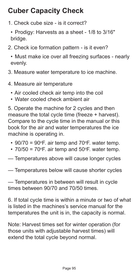# **Cuber Capacity Check**

- 1. Check cube size is it correct?
- Prodigy: Harvests as a sheet 1/8 to 3/16" bridge.
- 2. Check ice formation pattern is it even?
	- Must make ice over all freezing surfaces nearly evenly.
- 3. Measure water temperature to ice machine.
- 4. Measure air temperature
	- Air cooled check air temp into the coil
	- Water cooled check ambient air

5. Operate the machine for 2 cycles and then measure the total cycle time (freeze + harvest). Compare to the cycle time in the manual or this book for the air and water temperatures the ice machine is operating in.

- 90/70 = 90°F. air temp and 70°F. water temp.
- 70/50 = 70°F. air temp and 50°F. water temp.
- Temperatures above will cause longer cycles
- Temperatures below will cause shorter cycles

— Temperatures in between will result in cycle times between 90/70 and 70/50 times.

6. If total cycle time is within a minute or two of what is listed in the machines's service manual for the temperatures the unit is in, the capacity is normal.

Note: Harvest times set for winter operation (for those units with adjustable harvest times) will extend the total cycle beyond normal.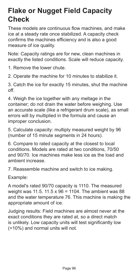#### **Flake or Nugget Field Capacity Check**

These models are continuous flow machines, and make ice at a steady rate once stabilized. A capacity check confirms the machines efficiency and is also a good measure of ice quality.

Note: Capacity ratings are for new, clean machines in exactly the listed conditions. Scale will reduce capacity.

1. Remove the lower chute.

2. Operate the machine for 10 minutes to stabilize it.

3. Catch the ice for exactly 15 minutes, shut the machine off.

4. Weigh the ice together with any meltage in the container; do not drain the water before weighing. Use an accurate scale (like a refrigerant drum scale), as small errors will by multiplied in the formula and cause an improper conclusion.

5. Calculate capacity: multiply measured weight by 96 (number of 15 minute segments in 24 hours).

6. Compare to rated capacity at the closest to local conditions. Models are rated at two conditions, 70/50 and 90/70. Ice machines make less ice as the load and ambient increase.

7. Reassemble machine and switch to ice making.

Example:

A model's rated 90/70 capacity is 1110. The measured weight was 11.5. 11.5 x 96 = 1104. The ambient was 88 and the water temperature 76. This machine is making the appropriate amount of ice.

Judging results: Field machines are almost never at the exact conditions they are rated at, so a direct match is unlikely. Low capacity units will test significantly low (>10%) and normal units will not.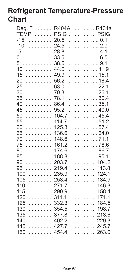# **Refrigerant Temperature-Pressure Chart**

| Deg. $F \dots$         |             | R404A R134a  |                      |
|------------------------|-------------|--------------|----------------------|
| <b>TEMP</b>            | <b>PSIG</b> | .            | <b>PSIG</b>          |
| $-15$<br>.             | 20.5        | 0.1          |                      |
| $-10$<br>.             | 24.5        | 2.0          |                      |
| $-5$<br>.              | 28.8        | . 4.1        |                      |
| 0<br>.                 | 33.5        | 6.5          |                      |
| 5<br>a a a a a a a a a | 38.6        | .            | 9.1                  |
| 10<br>.                | 44.0        | .            | 11.9                 |
| 15<br>.                | 49.9        | .            | 15.1                 |
| 20<br>.                | 56.2        | .            | 18.4                 |
| 25<br>.                | 63.0        | .            | 22.1                 |
| 30<br>.                | 70.3        | . 26.1       |                      |
| 35<br>.                | 78.1        | . 30.4       |                      |
| 40<br>.                | 86.4        | 35.1         |                      |
| 45<br>.                | 95.2        | .            | 40.0                 |
| 50<br>.                | 104.7       | .      .     | 454                  |
| 55<br>.                | 114.7       | .      .     | 51.2                 |
| 60<br>.                | 125.3       | .            | 57.4<br>$\mathbf{r}$ |
| 65<br>.                | 136.6       | .      .     | 64.0                 |
| 70<br>.                | 148.6       | .      .     | 71.1                 |
| 75<br>.                | 161.2       | .      .     | 78.6                 |
| 80<br>.                | 174.6       | .      .     | 86.7                 |
| 85<br>.                | 188.8       | .     . 95.1 |                      |
| 90<br>.                | 203.7       | .      .     | 104.2                |
| 95                     | 219.4       | .            | 113.8                |
| 100<br>.               | 235.9       | .            | 124.1                |
| 105<br>.               | 253.4       | .            | 134.9                |
| 110<br>.               | 271.7       | .            | 146.3                |
| 115<br>.               | 290.9       | .            | 158.4                |
| 120<br>.               | 311.1       | .            | 171.1                |
| 125<br>.               | 332.3       | .            | 184.5                |
| 130<br>.               | 354.5       | .            | 198.7                |
| 135<br>.               | 377.8       | .            | 213.6                |
| 140<br>.               | 402.2       | .            | 229.3                |
| 145<br>.               | 427.7       | .            | 245.7                |
| 150<br>$\ldots$ .      | 454.4       | .            | 263.0                |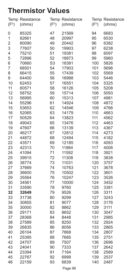#### **Thermistor Values**

| (F <sup>0</sup> ) | <b>Temp Resistance</b><br>(ohms) | (F <sup>0</sup> ) | <b>Temp Resistance</b><br>(ohms) | (F <sup>0</sup> ) | <b>Temp Resistance</b><br>(ohms) |
|-------------------|----------------------------------|-------------------|----------------------------------|-------------------|----------------------------------|
| 0                 | 85325                            | 47                | 21569                            | 94                | 6683                             |
| 1                 | 82661                            | 48                | 20997                            | 95                | 6530                             |
| $\overline{c}$    | 80090                            | 49                | 20442                            | 96                | 6382                             |
| 3                 | 77607                            | 50                | 19903                            | 97                | 6238                             |
| 4                 | 75210                            | 51                | 19381                            | 98                | 6097                             |
| 5                 | 72896                            | 52                | 18873                            | 99                | 5960                             |
| 6                 | 70660                            | S <sub>3</sub>    | 18381                            | 100               | 5826                             |
| 7                 | 68501                            | 54                | 17903                            | 101               | 5696                             |
| 8                 | 66415                            | 55                | 17439                            | 102               | 5569                             |
| 9                 | 64400                            | 56                | 16988                            | 103               | 5446                             |
| 10                | 62453                            | 57                | 16551                            | 104               | 5325                             |
| 11                | 60571                            | 58                | 16126                            | 105               | 5208                             |
| 12                | 58752                            | 59                | 15714                            | 106               | 5093                             |
| 13                | 56995                            | 60                | 15313                            | 107               | 4981                             |
| 14                | 55296                            | 61                | 14924                            | 108               | 4872                             |
| 15                | 53653                            | 62                | 14546                            | 109               | 4766                             |
| 16                | 52065                            | 63                | 14179                            | 110               | 4663                             |
| 17                | 50529                            | 64                | 13823                            | 111               | 4562                             |
| 18                | 49043                            | 65                | 13476                            | 112               | 4463                             |
| 19                | 47607                            | 66                | 13139                            | 113               | 4367                             |
| 20                | 46217                            | 67                | 12812                            | 114               | 4273                             |
| 21                | 44872                            | 68                | 12494                            | 115               | 4182                             |
| 22                | 43571                            | 69                | 12185                            | 116               | 4093                             |
| 23                | 42313                            | 70                | 11884                            | 117               | 4006                             |
| 24                | 41094                            | 71                | 11592                            | 118               | 3921                             |
| 25                | 39915                            | 72                | 11308                            | 119               | 3838                             |
| 26                | 38774                            | 73                | 11031                            | 120               | 3757                             |
| 27                | 37669                            | 74                | 10763                            | 121               | 3678                             |
| 28                | 36600                            | 75                | 10502                            | 122               | 3601                             |
| 29                | 35564                            | 76                | 10247                            | 123               | 3526                             |
| 30                | 34561                            | 77                | 10000                            | 124               | 3452                             |
| 31                | 33590                            | 78                | 9760                             | 125               | 3381                             |
| 32                | 32649                            | 79                | 9526                             | 126               | 3311                             |
| 33                | 31738                            | 80                | 9299                             | 127               | 3243                             |
| 34                | 30855                            | 81                | 9077                             | 128               | 3176                             |
| 35                | 30000                            | 82                | 8862                             | 129               | 3111                             |
| 36                | 29171                            | 83                | 8652                             | 130               | 3047                             |
| 37                | 28368                            | 84                | 8448                             | 131               | 2985                             |
| 38                | 27589                            | 85                | 8250                             | 132               | 2924                             |
| 39                | 26835                            | 86                | 8056                             | 133               | 2865                             |
| 40                | 26104                            | 87                | 7868                             | 134               | 2807                             |
| 41                | 25395                            | 88                | 7685                             | 135               | 2751                             |
| 42                | 24707                            | 89                | 7507                             | 136               | 2696                             |
| 43                | 24041                            | 90                | 7333                             | 137               | 2642                             |
| 44                | 23394                            | 91                | 7164                             | 138               | 2589                             |
| 45                | 22767                            | 92                | 6999                             | 139               | 2537                             |
| 46                | 22159                            | 93                | 6839                             | 140               | 2487                             |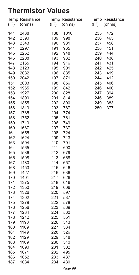#### **Thermistor Values**

| (F <sup>0</sup> ) | Temp Resistance<br>(ohms) | (F <sup>0</sup> ) | Temp Resistance<br>(ohms) | (F <sup>0</sup> ) | Temp Resistance<br>(ohms) |
|-------------------|---------------------------|-------------------|---------------------------|-------------------|---------------------------|
| 141               | 2438                      | 188               | 1016                      | 235               | 472                       |
| 142               | 2390                      | 189               | 998                       | 236               | 465                       |
| 143               | 2343                      | 190               | 981                       | 237               | 458                       |
| 144               | 2297                      | 191               | 965                       | 238               | 451                       |
| 145               | 2252                      | 192               | 948                       | 239               | 444                       |
| 146               | 2208                      | 193               | 932                       | 240               | 438                       |
| 147               | 2165                      | 194               | 916                       | 241               | 431                       |
| 148               | 2123                      | 195               | 901                       | 242               | 425                       |
| 149               | 2082                      | 196               | 885                       | 243               | 419                       |
| 150               | 2042                      | 197               | 871                       | 244               | 412                       |
| 151               | 2003                      | 198               | 856                       | 245               | 406                       |
| 152               | 1965                      | 199               | 842                       | 246               | 400                       |
| 153               | 1927                      | 200               | 828                       | 247               | 394                       |
| 154               | 1890                      | 201               | 814                       | 246               | 389                       |
| 155               | 1855                      | 202               | 800                       | 249               | 383                       |
| 156               | 1819                      | 203               | 787                       | 250               | 377                       |
| 157               | 1785                      | 204               | 774                       |                   |                           |
| 158               | 1752                      | 205               | 761                       |                   |                           |
| 159               | 1719                      | 206               | 749                       |                   |                           |
| 160               | 1687                      | 207               | 737                       |                   |                           |
| 161               | 1655                      | 208               | 724                       |                   |                           |
| 162               | 1624                      | 209               | 713                       |                   |                           |
| 163               | 1594                      | 210               | 701                       |                   |                           |
| 164               | 1565                      | 211               | 690                       |                   |                           |
| 165               | 1536                      | 212               | 679                       |                   |                           |
| 166               | 1508                      | 213               | 668                       |                   |                           |
| 167               | 1480                      | 214               | 657                       |                   |                           |
| 168               | 1453                      | 215               | 646                       |                   |                           |
| 169               | 1427                      | 216               | 636                       |                   |                           |
| 170               | 1401                      | 217               | 626                       |                   |                           |
| 171               | 1375                      | 218               | 616                       |                   |                           |
| 172               | 1350                      | 219               | 606                       |                   |                           |
| 173               | 1326                      | 220               | 597                       |                   |                           |
| 174               | 1302                      | 221               | 587                       |                   |                           |
| 175               | 1279                      | 222               | 578                       |                   |                           |
| 176<br>177        | 1256<br>1234              | 223<br>224        | 569<br>560                |                   |                           |
| 178               | 1212                      | 225               |                           |                   |                           |
|                   |                           |                   | 551                       |                   |                           |
| 179               | 1190                      | 226               | 543                       |                   |                           |
| 180<br>181        | 1169<br>1149              | 227<br>228        | 534<br>526                |                   |                           |
| 182               | 1129                      | 229               | 518                       |                   |                           |
| 183               | 1109                      | 230               | 510                       |                   |                           |
| 184               | 1090                      | 231               | 502                       |                   |                           |
| 185               | 1071                      | 232               | 495                       |                   |                           |
| 186               | 1052                      | 233               | 487                       |                   |                           |
| 187               | 1034                      | 234               | 480                       |                   |                           |
|                   |                           |                   |                           |                   |                           |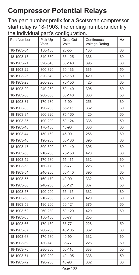# **Compressor Potential Relays**

The part number prefix for a Scotsman compressor start relay is 18-1903, the ending numbers identify the individual part's configuration.

| Part Number | Pick-Up<br>Volts | Drop Out<br>Volts | Continuous<br><b>Voltage Rating</b> | Hz |
|-------------|------------------|-------------------|-------------------------------------|----|
| 18-1903-04  | 150-160          | $20 - 55$         | 130                                 | 60 |
| 18-1903-18  | 340-360          | 55-125            | 336                                 | 60 |
| 18-1903-21  | 320-340          | 60-140            | 395                                 | 60 |
| 18-1903-22  | 300-320          | 60-133            | 336                                 | 50 |
| 18-1903-26  | 320-340          | 75-160            | 420                                 | 60 |
| 18-1903-28  | 260-280          | 75-150            | 420                                 | 60 |
| 18-1903-29  | 240-260          | 60-140            | 395                                 | 60 |
| 18-1903-30  | 280-300          | 60-140            | 336                                 | 50 |
| 18-1903-31  | 170-180          | 45-90             | 256                                 | 60 |
| 18-1903-33  | 190-200          | 55-115            | 332                                 | 60 |
| 18-1903-34  | 300-320          | 75-160            | 420                                 | 60 |
| 18-1903-35  | 190-200          | 60-124            | 336                                 | 50 |
| 18-1903-40  | 170-180          | 40-90             | 336                                 | 60 |
| 18-1903-44  | 150-160          | 45-90             | 256                                 | 60 |
| 18-1903-46  | 190-200          | 60-130            | 395                                 | 60 |
| 18-1903-47  | 300-320          | 60-140            | 395                                 | 60 |
| 18-1903-50  | 210-230          | 75-150            | 420                                 | 60 |
| 18-1903-52  | 170-180          | 55-115            | 332                                 | 60 |
| 18-1903-53  | 160-170          | 35-77             | 228                                 | 50 |
| 18-1903-54  | 240-260          | 60-140            | 395                                 | 60 |
| 18-1903-55  | 160-170          | 40-90             | 332                                 | 60 |
| 18-1903-56  | 240-260          | 60-121            | 337                                 | 50 |
| 18-1903-57  | 190-200          | 55-115            | 332                                 | 60 |
| 18-1903-58  | 210-230          | 30-150            | 420                                 | 60 |
| 18-1903-59  | 190-200          | 60-121            | 375                                 | 60 |
| 18-1903-62  | 260-280          | 60-120            | 420                                 | 60 |
| 18-1903-65  | 150-160          | 35-77             | 253                                 |    |
| 18-1903-66  | 170-180          | 35-77             | 228                                 | 50 |
| 18-1903-67  | 260-280          | 40-105            | 332                                 | 60 |
| 18-1903-68  | 170-180          | 40-90             | 332                                 | 60 |
| 18-1903-69  | 130-140          | 35-77             | 228                                 | 50 |
| 18-1903-70  | 280-300          | 50-110            | 338                                 | 50 |
| 18-1903-71  | 190-200          | 40-105            | 338                                 | 50 |
| 18-1903-72  | 190-200          | 40-90             | 332                                 | 60 |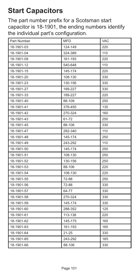# **Start Capacitors**

The part number prefix for a Scotsman start capacitor is 18-1901, the ending numbers identify the individual part's configuration.

| Part Number | <b>MFD</b> | <b>VAC</b> |
|-------------|------------|------------|
| 18-1901-03  | 124-149    | 220        |
| 18-1901-04  | 324-389    | 110        |
| 18-1901-09  | 161-193    | 220        |
| 18-1901-12  | 540-648    | 110        |
| 18-1901-15  | 145-174    | 220        |
| 18-1901-20  | 108-130    | 330        |
| 18-1901-23  | 130-156    | 330        |
| 18-1901-27  | 189-227    | 330        |
| 18-1901-33  | 189-227    | 220        |
| 18-1901-40  | 88-109     | 250        |
| 18-1901-41  | 378-455    | 135        |
| 18-1901-42  | 270-324    | 160        |
| 18-1901-43  | 61-72      | 250        |
| 18-1901-45  | 88-106     | 330        |
| 18-1901-47  | 282-340    | 110        |
| 18-1901-48  | 145-174    | 250        |
| 18-1901-49  | 243-292    | 110        |
| 18-1901-50  | 145-174    | 250        |
| 18-1901-51  | 108-130    | 250        |
| 18-1901-52  | 130-156    | 250        |
| 18-1901-53  | 88-106     | 220        |
| 18-1901-54  | 108-130    | 220        |
| 18-1901-55  | 72-88      | 250        |
| 18-1901-56  | 72-88      | 330        |
| 18-1901-57  | 64-77      | 330        |
| 18-1901-58  | 270-324    | 330        |
| 18-1901-59  | 145-174    | 330        |
| 18-1901-60  | 288-352    | 125        |
| 18-1901-61  | 113-138    | 220        |
| 18-1901-62  | 145-175    | 165        |
| 18-1901-63  | 161-193    | 165        |
| 18-1901-64  | $21 - 25$  | 330        |
| 18-1901-65  | 243-292    | 165        |
| 18-1901-66  | 88-106     | 330        |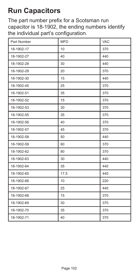# **Run Capacitors**

The part number prefix for a Scotsman run capacitor is 18-1902, the ending numbers identify the individual part's configuration.

| Part Number | <b>MFD</b> | VAC |
|-------------|------------|-----|
| 18-1902-17  | 10         | 370 |
| 18-1902-27  | 40         | 440 |
| 18-1902-28  | 30         | 440 |
| 18-1902-29  | 20         | 370 |
| 18-1902-30  | 15         | 440 |
| 18-1902-45  | 25         | 370 |
| 18-1902-51  | 35         | 370 |
| 18-1902-52  | 15         | 370 |
| 18-1902-53  | 30         | 370 |
| 18-1902-55  | 35         | 370 |
| 18-1902-56  | 40         | 370 |
| 18-1902-57  | 45         | 370 |
| 18-1902-58  | 50         | 440 |
| 18-1902-59  | 60         | 370 |
| 18-1902-62  | 80         | 370 |
| 18-1902-63  | 30         | 440 |
| 18-1902-64  | 35         | 440 |
| 18-1902-65  | 17.5       | 440 |
| 18-1902-66  | 10         | 220 |
| 18-1902-67  | 25         | 440 |
| 18-1902-68  | 15         | 370 |
| 18-1902-69  | 30         | 370 |
| 18-1902-70  | 35         | 370 |
| 18-1902-71  | 40         | 370 |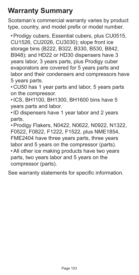#### **Warranty Summary**

Scotsman's commercial warranty varies by product type, country, and model prefix or model number.

•Prodigy cubers, Essential cubers, plus CU0515, CU1526, CU2026, CU3030); slope front ice storage bins (B222, B322, B330, B530, B842, B948); and HD22 or HD30 dispensers have 3 years labor, 3 years parts, plus Prodigy cuber evaporators are covered for 5 years parts and labor and their condensers and compressors have 5 years parts.

• CU50 has 1 year parts and labor, 5 years parts on the compressor.

•ICS, BH1100, BH1300, BH1600 bins have 5 years parts and labor.

•ID dispensers have 1 year labor and 2 years parts.

•Prodigy Flakers, N0422, N0622, N0922, N1322, F0522, F0822, F1222, F1522, plus NME1854,

FME2404 have three years parts, three years labor and 5 years on the compressor (parts).

•All other ice making products have two years parts, two years labor and 5 years on the compressor (parts).

See warranty statements for specific information.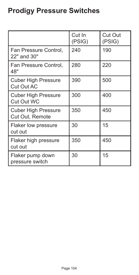# **Prodigy Pressure Switches**

|                                                 | Cut In<br>(PSIG) | Cut Out<br>(PSIG) |
|-------------------------------------------------|------------------|-------------------|
| Fan Pressure Control,<br>22" and 30"            | 240              | 190               |
| Fan Pressure Control,<br>48"                    | 280              | 220               |
| <b>Cuber High Pressure</b><br><b>Cut Out AC</b> | 390              | 500               |
| <b>Cuber High Pressure</b><br>Cut Out WC        | 300              | 400               |
| <b>Cuber High Pressure</b><br>Cut Out, Remote   | 350              | 450               |
| Flaker low pressure<br>cut out                  | 30               | 15                |
| Flaker high pressure<br>cut out                 | 350              | 450               |
| Flaker pump down<br>pressure switch             | 30               | 15                |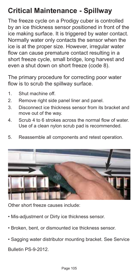# **Critical Maintenance - Spillway**

The freeze cycle on a Prodigy cuber is controlled by an ice thickness sensor positioned in front of the ice making surface. It is triggered by water contact. Normally water only contacts the sensor when the ice is at the proper size. However, irregular water flow can cause premature contact resulting in a short freeze cycle, small bridge, long harvest and even a shut down on short freeze (code 8).

The primary procedure for correcting poor water flow is to scrub the spillway surface.

- 1. Shut machine off.
- 2. Remove right side panel liner and panel.
- 3. Disconnect ice thickness sensor from its bracket and move out of the way.
- 4. Scrub 4 to 6 strokes across the normal flow of water. Use of a clean nylon scrub pad is recommended.
- 5. Reassemble all components and retest operation.



Other short freeze causes include:

- Mis-adjustment or Dirty ice thickness sensor.
- Broken, bent, or dismounted ice thickness sensor.
- Sagging water distributor mounting bracket. See Service Bulletin PS-9-2012.

Page 105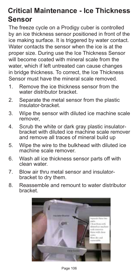#### **Critical Maintenance - Ice Thickness Sensor**

The freeze cycle on a Prodigy cuber is controlled by an ice thickness sensor positioned in front of the ice making surface. It is triggered by water contact. Water contacts the sensor when the ice is at the proper size. During use the Ice Thickness Sensor will become coated with mineral scale from the water, which if left untreated can cause changes in bridge thickness. To correct, the Ice Thickness Sensor must have the mineral scale removed.

- 1. Remove the ice thickness sensor from the water distributor bracket.
- 2. Separate the metal sensor from the plastic insulator-bracket.
- 3. Wipe the sensor with diluted ice machine scale remover,
- 4. Scrub the white or dark gray plastic insulatorbracket with diluted ice machine scale remover and remove all traces of mineral build up
- 5. Wipe the wire to the bulkhead with diluted ice machine scale remover.
- 6. Wash all ice thickness sensor parts off with clean water.
- 7. Blow air thru metal sensor and insulatorbracket to dry them.
- 8. Reassemble and remount to water distributor bracket.

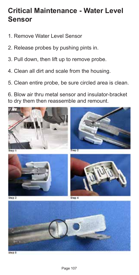#### **Critical Maintenance - Water Level Sensor**

- 1. Remove Water Level Sensor
- 2. Release probes by pushing pints in.
- 3. Pull down, then lift up to remove probe.
- 4. Clean all dirt and scale from the housing.
- 5. Clean entire probe, be sure circled area is clean.

6. Blow air thru metal sensor and insulator-bracket to dry them then reassemble and remount.

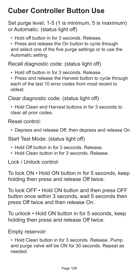# **Cuber Controller Button Use**

Set purge level, 1-5 (1 is minimum, 5 is maximum) or Automatic: (status light off)

• Hold off button in for 3 seconds. Release.

• Press and release the On button to cycle through and select one of the five purge settings or to use the Automatic setting.

Recall diagnostic code: (status light off)

- Hold off button in for 3 seconds. Release.
- Press and release the Harvest button to cycle through each of the last 10 error codes from most recent to oldest.

Clear diagnostic code: (status light off)

• Hold Clean and Harvest buttons in for 3 seconds to clear all prior codes.

#### Reset control:

• Depress and release Off, then depress and release On

Start Test Mode: (status light off)

- Hold Off button in for 3 seconds. Release.
- Hold Clean button in for 3 seconds. Release.

Lock / Unlock control:

To lock ON • Hold ON button in for 5 seconds, keep holding then press and release Off twice.

To lock OFF • Hold ON button and then press OFF button once within 3 seconds, wait 5 seconds then press Off twice and then release On.

To unlock • Hold ON button in for 5 seconds, keep holding then press and release Off twice.

Empty reservoir:

• Hold Clean button in for 3 seconds. Release. Pump and purge valve will be ON for 30 seconds. Repeat as needed.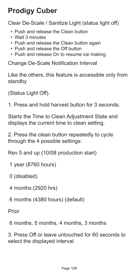# **Prodigy Cuber**

Clear De-Scale / Sanitize Light (status light off)

- Push and release the Clean button
- Wait 3 minutes
- Push and release the Clean button again
- Push and release the Off button
- Push and release On to resume ice making

Change De-Scale Notification Interval

Like the others, this feature is accessible only from standby

(Status Light Off).

1. Press and hold harvest button for 3 seconds.

Starts the Time to Clean Adjustment State and displays the current time to clean setting.

2. Press the clean button repeatedly to cycle through the 4 possible settings:

Rev 5 and up (10/08 production start)

1 year (8760 hours)

0 (disabled)

4 months (2920 hrs)

6 months (4380 hours) (default)

Prior

6 months, 5 months, 4 months, 3 months

3. Press Off or leave untouched for 60 seconds to select the displayed interval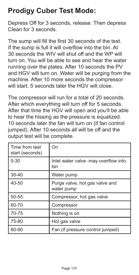### **Prodigy Cuber Test Mode:**

Depress Off for 3 seconds, release. Then depress Clean for 3 seconds.

The sump will fill the first 30 seconds of the test. If the sump is full it will overflow into the bin. At 30 seconds the WIV will shut off and the WP will turn on. You will be able to see and hear the water running over the plates. After 10 seconds the PV and HGV will turn on. Water will be purging from the machine. After 10 more seconds the compressor will start. 5 seconds later the HGV will close.

The compressor will run for a total of 20 seconds. After which everything will turn off for 5 seconds. After that time the HGV will open and you'll be able to hear the hissing as the pressure is equalized. 10 seconds later the fan will turn on (if fan control jumped). After 10 seconds all will be off and the output test will be complete.

| Time from test<br>start (seconds) | On                                           |
|-----------------------------------|----------------------------------------------|
| $0 - 30$                          | Inlet water valve -may overflow into<br>bin  |
| $30 - 40$                         | Water pump                                   |
| 40-50                             | Purge valve, hot gas valve and<br>water pump |
| $50 - 55$                         | Compressor, hot gas valve                    |
| 60-70                             | Compressor                                   |
| 70-75                             | Nothing is on                                |
| 75-80                             | Hot gas valve                                |
| 80-90                             | Fan (if pressure control jumped)             |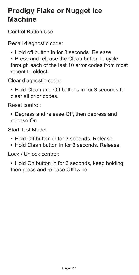#### **Prodigy Flake or Nugget Ice Machine**

Control Button Use

Recall diagnostic code:

- Hold off button in for 3 seconds. Release.
- Press and release the Clean button to cycle through each of the last 10 error codes from most recent to oldest.

Clear diagnostic code:

• Hold Clean and Off buttons in for 3 seconds to clear all prior codes.

Reset control:

• Depress and release Off, then depress and release On

Start Test Mode:

- Hold Off button in for 3 seconds. Release.
- Hold Clean button in for 3 seconds. Release.

Lock / Unlock control:

• Hold On button in for 3 seconds, keep holding then press and release Off twice.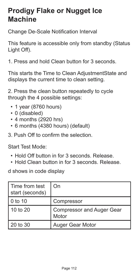#### **Prodigy Flake or Nugget Ice Machine**

Change De-Scale Notification Interval

This feature is accessible only from standby (Status Light Off).

1. Press and hold Clean button for 3 seconds.

This starts the Time to Clean AdjustmentState and displays the current time to clean setting.

2. Press the clean button repeatedly to cycle through the 4 possible settings:

- 1 year (8760 hours)
- 0 (disabled)
- 4 months (2920 hrs)
- 6 months (4380 hours) (default)
- 3. Push Off to confirm the selection.

Start Test Mode:

- Hold Off button in for 3 seconds. Release.
- Hold Clean button in for 3 seconds. Release.

d shows in code display

| Time from test<br>start (seconds) | On                                        |
|-----------------------------------|-------------------------------------------|
| $0$ to 10                         | Compressor                                |
| $10$ to $20$                      | <b>Compressor and Auger Gear</b><br>Motor |
| 20 to 30                          | Auger Gear Motor                          |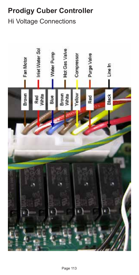### **Prodigy Cuber Controller**

#### Hi Voltage Connections

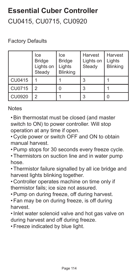# **Essential Cuber Controller** CU0415, CU0715, CU0920

#### Factory Defaults

|               | Ice<br><b>Bridge</b><br>Lights on<br>Steady | Ice<br><b>Bridge</b><br>Lights<br><b>Blinking</b> | Harvest<br>Lights on<br>Steady | Harvest<br>Lights<br><b>Blinking</b> |
|---------------|---------------------------------------------|---------------------------------------------------|--------------------------------|--------------------------------------|
| CU0415        |                                             |                                                   | 3                              |                                      |
| CU0715        | 2                                           | O                                                 | 3                              |                                      |
| <b>CU0920</b> | っ                                           |                                                   | 3                              |                                      |

#### **Notes**

•Bin thermostat must be closed (and master switch to ON) to power controller. Will stop operation at any time if open.

• Cycle power or switch OFF and ON to obtain manual harvest.

- •Pump stops for 30 seconds every freeze cycle.
- •Thermistors on suction line and in water pump hose.

•Thermistor failure signalled by all ice bridge and harvest lights blinking together.

- Controller operates machine on time only if thermistor fails; ice size not assured.
- •Pump on during freeze, off during harvest.
- •Fan may be on during freeze, is off during harvest.
- •Inlet water solenoid valve and hot gas valve on during harvest and off during freeze.
- •Freeze indicated by blue light.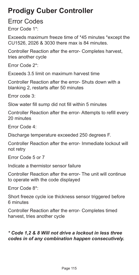#### **Prodigy Cuber Controller**

#### Error Codes

Error Code 1\*:

Exceeds maximum freeze time of \*45 minutes \*except the CU1526, 2026 & 3030 there max is 84 minutes.

Controller Reaction after the error- Completes harvest, tries another cycle

Error Code 2\*:

Exceeds 3.5 limit on maximum harvest time

Controller Reaction after the error- Shuts down with a blanking 2, restarts after 50 minutes

Error code 3:

Slow water fill sump did not fill within 5 minutes

Controller Reaction after the error- Attempts to refill every 20 minutes

Error Code 4:

Discharge temperature exceeded 250 degrees F.

Controller Reaction after the error- Immediate lockout will not retry

Error Code 5 or 7

Indicate a thermistor sensor failure

Controller Reaction after the error- The unit will continue to operate with the code displayed

Error Code 8\*:

Short freeze cycle ice thickness sensor triggered before 6 minutes

Controller Reaction after the error- Completes timed harvest, tries another cycle

#### *\* Code 1,2 & 8 Will not drive a lockout in less three codes in of any combination happen consecutively.*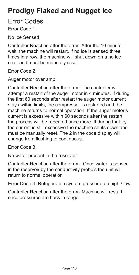### **Prodigy Flaked and Nugget Ice**

Error Codes

Error Code 1:

No Ice Sensed

Controller Reaction after the error- After the 10 minute wait, the machine will restart. If no ice is sensed three times in a row, the machine will shut down on a no ice error and must be manually reset.

Error Code 2:

Auger motor over amp

Controller Reaction after the error- The controller will attempt a restart of the auger motor in 4 minutes. If during the first 60 seconds after restart the auger motor current stays within limits, the compressor is restarted and the machine returns to normal operation. If the auger motor's current is excessive within 60 seconds after the restart, the process will be repeated once more. If during that try the current is still excessive the machine shuts down and must be manually reset. The 2 in the code display will change from flashing to continuous.

Error Code 3:

No water present in the reservoir

Controller Reaction after the error- Once water is sensed in the reservoir by the conductivity probe's the unit will return to normal operation

Error Code 4: Refrigeration system pressure too high / low

Controller Reaction after the error- Machine will restart once pressures are back in range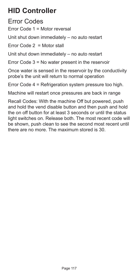### **HID Controller**

Error Codes

Error Code 1 = Motor reversal

Unit shut down immediately – no auto restart

Error Code  $2 =$  Motor stall

Unit shut down immediately – no auto restart

Error Code 3 = No water present in the reservoir

Once water is sensed in the reservoir by the conductivity probe's the unit will return to normal operation

Error Code 4 = Refrigeration system pressure too high.

Machine will restart once pressures are back in range

Recall Codes: With the machine Off but powered, push and hold the vend disable button and then push and hold the on off button for at least 3 seconds or until the status light switches on. Release both. The most recent code will be shown, push clean to see the second most recent until there are no more. The maximum stored is 30.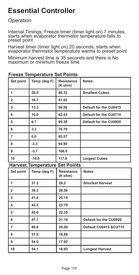#### **Essential Controller**

#### Operation

Internal Timings: Freeze timer (timer light on) 7 minutes, starts when evaporator thermistor temperature falls to preset point

Harvest timer (timer light on) 20 seconds, starts when evaporator thermistor temperature warms to preset point

Minimum harvest time is 35 seconds and there is No maximum or minimum freeze time

| Set point                             | Temp (deg F) | Resistance<br>(K ohm) | Notes:                  |  |  |
|---------------------------------------|--------------|-----------------------|-------------------------|--|--|
| 1                                     | 20.0         | 46.33                 | <b>Smallest Cubes</b>   |  |  |
| $\overline{\mathbf{2}}$               | 16.7         | 51.02                 |                         |  |  |
| 3                                     | 13.3         | 56.56                 | Default for the CU0415  |  |  |
| 4                                     | 10.0         | 62.43                 | Default for the CU0715  |  |  |
| 5                                     | 6.7          | 69.38                 | Default for the CU0920  |  |  |
| 6                                     | 3.3          | 76.79                 |                         |  |  |
| $\overline{7}$                        | 0.0          | 85.57                 |                         |  |  |
| 8                                     | $-3.3$       | 94.90                 |                         |  |  |
| 9                                     | $-3.7$       | 106.0                 |                         |  |  |
| 10                                    | $-10.0$      | 117.8                 | <b>Largest Cubes</b>    |  |  |
| <b>Harvest Temperature Set Points</b> |              |                       |                         |  |  |
| Set point                             | Temp (deg F) | Resistance<br>(K ohm) | Notes:                  |  |  |
| 1                                     | 37.2         | 28.2                  | <b>Shortest Harvest</b> |  |  |
| $\overline{2}$                        | 39.3         | 26.56                 |                         |  |  |
| 3                                     | 41.4         | 25.15                 |                         |  |  |
| 4                                     | 43.5         | 23.70                 |                         |  |  |
| 5                                     | 45.6         | 22.35                 |                         |  |  |
| 6                                     | 47.7         | 21.19                 | Default for the CU0920  |  |  |
| $\overline{7}$                        | 49.8         | 20.00                 | Default CU0415 &CU715   |  |  |
| 8                                     | 51.9         | 18.88                 |                         |  |  |
| 9                                     | 54.0         | 17.92                 |                         |  |  |
| 10                                    | 54.1         | 16.93                 | <b>Longest Harvest</b>  |  |  |

#### **Freeze Temperature Set Points**